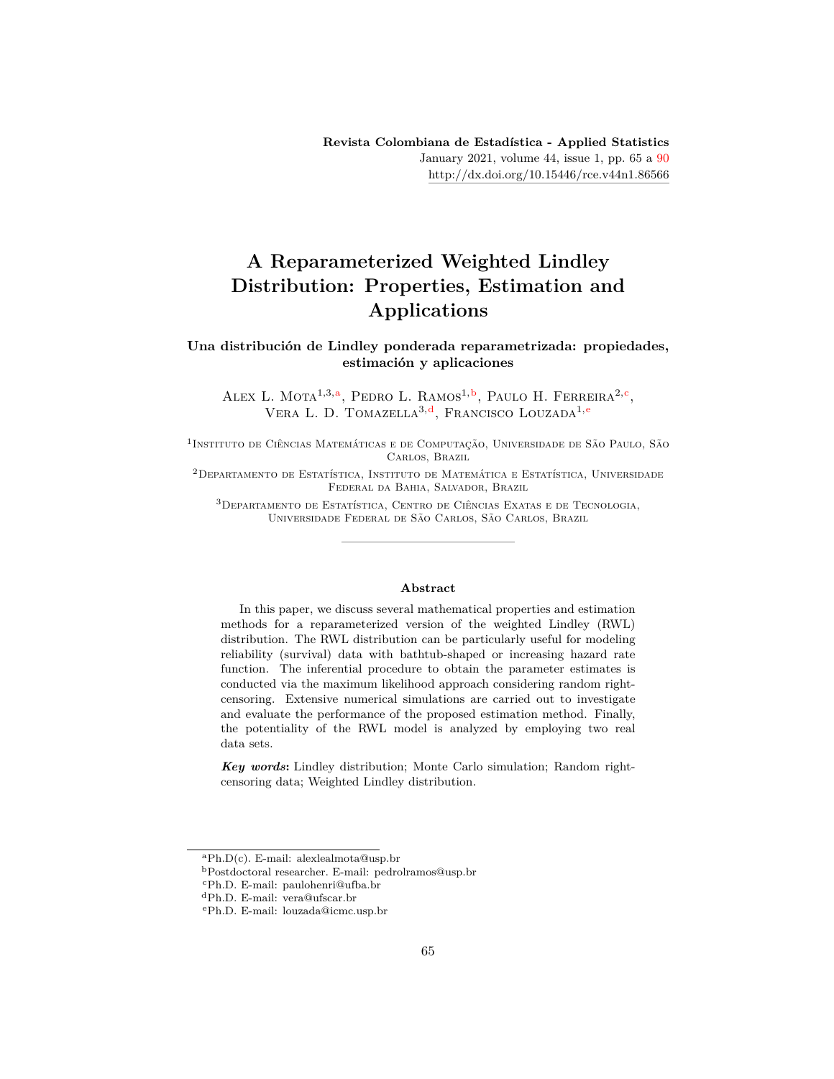# **A Reparameterized Weighted Lindley Distribution: Properties, Estimation and Applications**

### **Una distribución de Lindley ponderada reparametrizada: propiedades, estimación y aplicaciones**

ALEX L. MOTA<sup>1,3,[a](#page-0-0)</sup>, PEDRO L. RAMOS<sup>1,[b](#page-0-1)</sup>, PAULO H. FERREIRA<sup>2,[c](#page-0-2)</sup>, Vera L. D. Tomazella<sup>3,[d](#page-0-3)</sup>, Francisco Louzada<sup>1,[e](#page-0-4)</sup>

<sup>1</sup> Instituto de Ciências Matemáticas e de Computação, Universidade de São Paulo, São Carlos, Brazil

 $^{2}$ DEPARTAMENTO DE ESTATÍSTICA, INSTITUTO DE MATEMÁTICA E ESTATÍSTICA, UNIVERSIDADE Federal da Bahia, Salvador, Brazil

3Departamento de Estatística, Centro de Ciências Exatas e de Tecnologia, Universidade Federal de São Carlos, São Carlos, Brazil

#### **Abstract**

In this paper, we discuss several mathematical properties and estimation methods for a reparameterized version of the weighted Lindley (RWL) distribution. The RWL distribution can be particularly useful for modeling reliability (survival) data with bathtub-shaped or increasing hazard rate function. The inferential procedure to obtain the parameter estimates is conducted via the maximum likelihood approach considering random rightcensoring. Extensive numerical simulations are carried out to investigate and evaluate the performance of the proposed estimation method. Finally, the potentiality of the RWL model is analyzed by employing two real data sets.

*Key words***:** Lindley distribution; Monte Carlo simulation; Random rightcensoring data; Weighted Lindley distribution.

<span id="page-0-0"></span><sup>a</sup>Ph.D(c). E-mail: alexlealmota@usp.br

<span id="page-0-1"></span><sup>b</sup>Postdoctoral researcher. E-mail: pedrolramos@usp.br

<span id="page-0-2"></span><sup>c</sup>Ph.D. E-mail: paulohenri@ufba.br

<span id="page-0-3"></span><sup>d</sup>Ph.D. E-mail: vera@ufscar.br

<span id="page-0-4"></span><sup>e</sup>Ph.D. E-mail: louzada@icmc.usp.br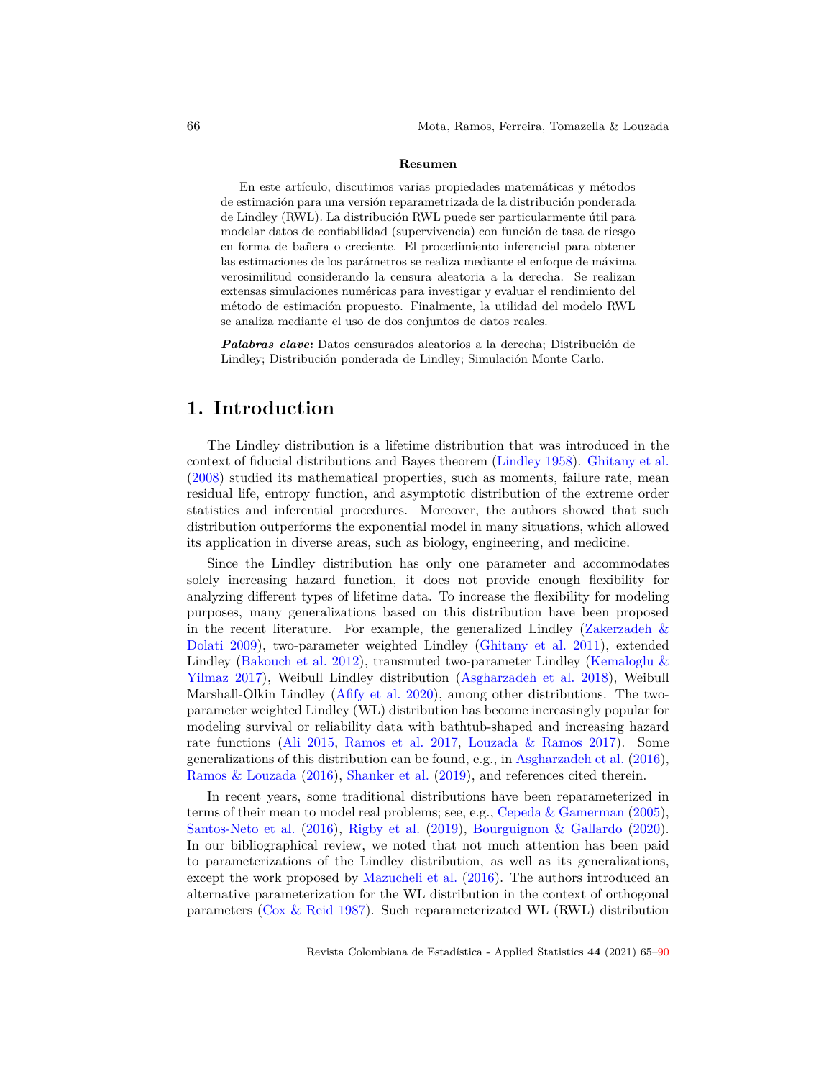#### **Resumen**

En este artículo, discutimos varias propiedades matemáticas y métodos de estimación para una versión reparametrizada de la distribución ponderada de Lindley (RWL). La distribución RWL puede ser particularmente útil para modelar datos de confiabilidad (supervivencia) con función de tasa de riesgo en forma de bañera o creciente. El procedimiento inferencial para obtener las estimaciones de los parámetros se realiza mediante el enfoque de máxima verosimilitud considerando la censura aleatoria a la derecha. Se realizan extensas simulaciones numéricas para investigar y evaluar el rendimiento del método de estimación propuesto. Finalmente, la utilidad del modelo RWL se analiza mediante el uso de dos conjuntos de datos reales.

*Palabras clave***:** Datos censurados aleatorios a la derecha; Distribución de Lindley; Distribución ponderada de Lindley; Simulación Monte Carlo.

### **1. Introduction**

The Lindley distribution is a lifetime distribution that was introduced in the context of fiducial distributions and Bayes theorem ([Lindley](#page-23-0) [1958](#page-23-0)). [Ghitany et al.](#page-23-1) [\(2008\)](#page-23-1) studied its mathematical properties, such as moments, failure rate, mean residual life, entropy function, and asymptotic distribution of the extreme order statistics and inferential procedures. Moreover, the authors showed that such distribution outperforms the exponential model in many situations, which allowed its application in diverse areas, such as biology, engineering, and medicine.

Since the Lindley distribution has only one parameter and accommodates solely increasing hazard function, it does not provide enough flexibility for analyzing different types of lifetime data. To increase the flexibility for modeling purposes, many generalizations based on this distribution have been proposed in the recent literature. For example, the generalized Lindley (Zakerzadeh  $\&$ [Dolati](#page-25-0) [2009\)](#page-25-0), two-parameter weighted Lindley [\(Ghitany et al.](#page-23-2) [2011\)](#page-23-2), extended Lindley [\(Bakouch et al.](#page-22-1) [2012\)](#page-22-1), transmuted two-parameter Lindley ([Kemaloglu &](#page-23-3) [Yilmaz](#page-23-3) [2017](#page-23-3)), Weibull Lindley distribution [\(Asgharzadeh et al.](#page-22-2) [2018\)](#page-22-2), Weibull Marshall-Olkin Lindley ([Afify et al.](#page-22-3) [2020](#page-22-3)), among other distributions. The twoparameter weighted Lindley (WL) distribution has become increasingly popular for modeling survival or reliability data with bathtub-shaped and increasing hazard rate functions ([Ali](#page-22-4) [2015,](#page-22-4) [Ramos et al.](#page-24-0) [2017](#page-24-0), [Louzada & Ramos](#page-23-4) [2017](#page-23-4)). Some generalizations of this distribution can be found, e.g., in [Asgharzadeh et al.](#page-22-5) ([2016\)](#page-22-5), [Ramos & Louzada](#page-24-1) ([2016\)](#page-24-1), [Shanker et al.](#page-24-2) [\(2019](#page-24-2)), and references cited therein.

In recent years, some traditional distributions have been reparameterized in terms of their mean to model real problems; see, e.g., [Cepeda & Gamerman](#page-22-6) ([2005\)](#page-22-6), [Santos-Neto et al.](#page-24-3) ([2016\)](#page-24-3), [Rigby et al.](#page-24-4) ([2019](#page-24-4)), [Bourguignon & Gallardo](#page-22-7) ([2020\)](#page-22-7). In our bibliographical review, we noted that not much attention has been paid to parameterizations of the Lindley distribution, as well as its generalizations, except the work proposed by [Mazucheli et al.](#page-23-5) [\(2016](#page-23-5)). The authors introduced an alternative parameterization for the WL distribution in the context of orthogonal parameters ([Cox & Reid](#page-22-8) [1987](#page-22-8)). Such reparameterizated WL (RWL) distribution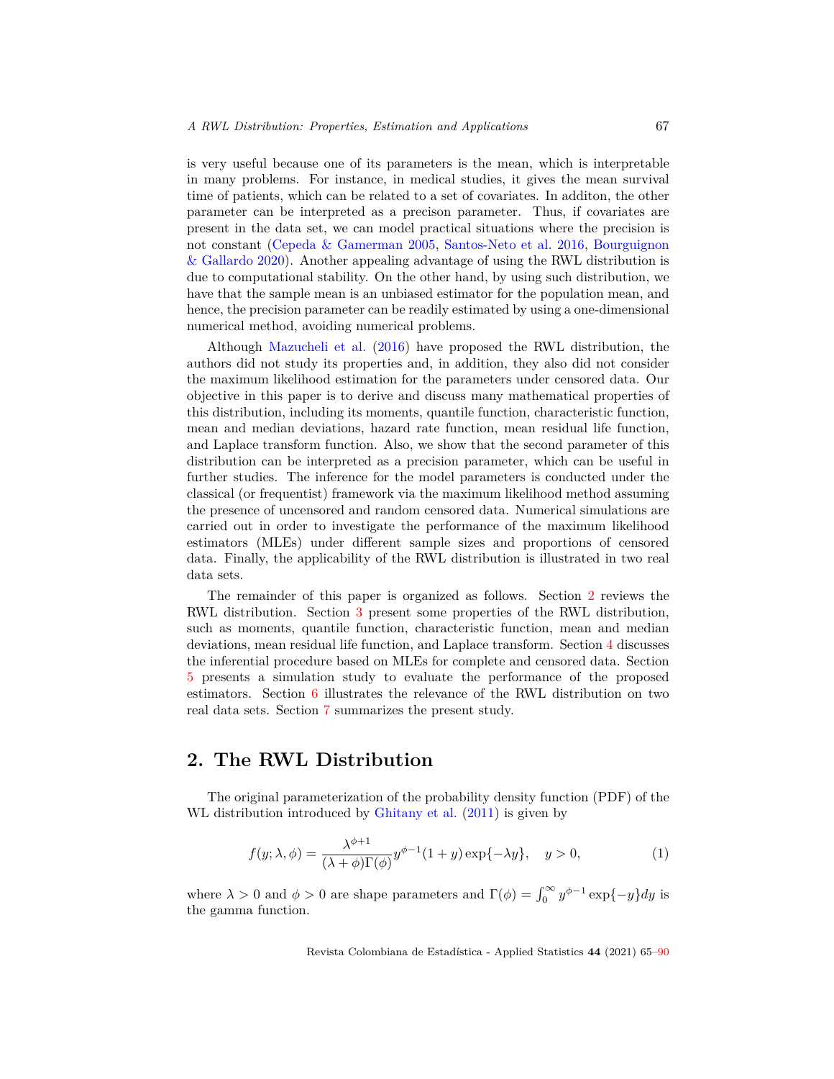is very useful because one of its parameters is the mean, which is interpretable in many problems. For instance, in medical studies, it gives the mean survival time of patients, which can be related to a set of covariates. In additon, the other parameter can be interpreted as a precison parameter. Thus, if covariates are present in the data set, we can model practical situations where the precision is not constant ([Cepeda & Gamerman](#page-22-6) [2005,](#page-22-6) [Santos-Neto et al.](#page-24-3) [2016](#page-24-3), [Bourguignon](#page-22-7) [& Gallardo](#page-22-7) [2020\)](#page-22-7). Another appealing advantage of using the RWL distribution is due to computational stability. On the other hand, by using such distribution, we have that the sample mean is an unbiased estimator for the population mean, and hence, the precision parameter can be readily estimated by using a one-dimensional numerical method, avoiding numerical problems.

Although [Mazucheli et al.](#page-23-5) [\(2016](#page-23-5)) have proposed the RWL distribution, the authors did not study its properties and, in addition, they also did not consider the maximum likelihood estimation for the parameters under censored data. Our objective in this paper is to derive and discuss many mathematical properties of this distribution, including its moments, quantile function, characteristic function, mean and median deviations, hazard rate function, mean residual life function, and Laplace transform function. Also, we show that the second parameter of this distribution can be interpreted as a precision parameter, which can be useful in further studies. The inference for the model parameters is conducted under the classical (or frequentist) framework via the maximum likelihood method assuming the presence of uncensored and random censored data. Numerical simulations are carried out in order to investigate the performance of the maximum likelihood estimators (MLEs) under different sample sizes and proportions of censored data. Finally, the applicability of the RWL distribution is illustrated in two real data sets.

The remainder of this paper is organized as follows. Section [2](#page-2-0) reviews the RWL distribution. Section [3](#page-5-0) present some properties of the RWL distribution, such as moments, quantile function, characteristic function, mean and median deviations, mean residual life function, and Laplace transform. Section [4](#page-11-0) discusses the inferential procedure based on MLEs for complete and censored data. Section [5](#page-13-0) presents a simulation study to evaluate the performance of the proposed estimators. Section [6](#page-14-0) illustrates the relevance of the RWL distribution on two real data sets. Section [7](#page-21-0) summarizes the present study.

# <span id="page-2-0"></span>**2. The RWL Distribution**

The original parameterization of the probability density function (PDF) of the WL distribution introduced by [Ghitany et al.](#page-23-2) [\(2011](#page-23-2)) is given by

<span id="page-2-1"></span>
$$
f(y; \lambda, \phi) = \frac{\lambda^{\phi+1}}{(\lambda + \phi)\Gamma(\phi)} y^{\phi-1} (1+y) \exp\{-\lambda y\}, \quad y > 0,
$$
 (1)

where  $\lambda > 0$  and  $\phi > 0$  are shape parameters and  $\Gamma(\phi) = \int_0^\infty y^{\phi-1} \exp\{-y\} dy$  is the gamma function.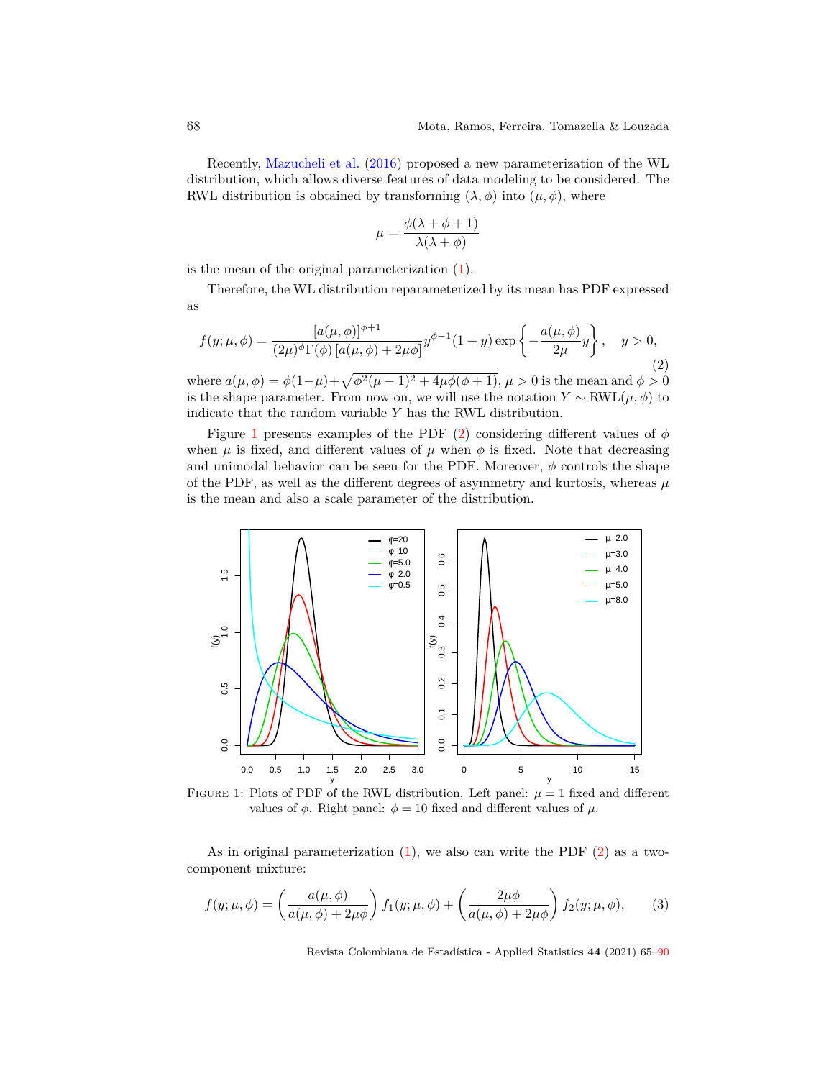Recently, [Mazucheli et al.](#page-23-5) [\(2016](#page-23-5)) proposed a new parameterization of the WL distribution, which allows diverse features of data modeling to be considered. The RWL distribution is obtained by transforming  $(\lambda, \phi)$  into  $(\mu, \phi)$ , where

$$
\mu = \frac{\phi(\lambda + \phi + 1)}{\lambda(\lambda + \phi)}
$$

is the mean of the original parameterization  $(1)$  $(1)$ .

Therefore, the WL distribution reparameterized by its mean has PDF expressed as

<span id="page-3-1"></span>
$$
f(y; \mu, \phi) = \frac{[a(\mu, \phi)]^{\phi+1}}{(2\mu)^{\phi} \Gamma(\phi) [a(\mu, \phi) + 2\mu\phi]} y^{\phi-1} (1+y) \exp\left\{-\frac{a(\mu, \phi)}{2\mu} y\right\}, \quad y > 0,
$$
\n
$$
(2)
$$

where  $a(\mu, \phi) = \phi(1-\mu) + \sqrt{\phi^2(\mu-1)^2 + 4\mu\phi(\phi+1)}, \mu > 0$  is the mean and  $\phi > 0$ is the shape parameter. From now on, we will use the notation  $Y \sim \text{RWL}(\mu, \phi)$  to indicate that the random variable *Y* has the RWL distribution.

Figure [1](#page-3-0) presents examples of the PDF  $(2)$  $(2)$  considering different values of  $\phi$ when  $\mu$  is fixed, and different values of  $\mu$  when  $\phi$  is fixed. Note that decreasing and unimodal behavior can be seen for the PDF. Moreover,  $\phi$  controls the shape of the PDF, as well as the different degrees of asymmetry and kurtosis, whereas  $\mu$ is the mean and also a scale parameter of the distribution.



FIGURE 1: Plots of PDF of the RWL distribution. Left panel:  $\mu = 1$  fixed and different values of  $\phi$ . Right panel:  $\phi = 10$  fixed and different values of  $\mu$ .

As in original parameterization  $(1)$  $(1)$  $(1)$ , we also can write the PDF  $(2)$  $(2)$  as a twocomponent mixture:

<span id="page-3-2"></span><span id="page-3-0"></span>
$$
f(y; \mu, \phi) = \left(\frac{a(\mu, \phi)}{a(\mu, \phi) + 2\mu\phi}\right) f_1(y; \mu, \phi) + \left(\frac{2\mu\phi}{a(\mu, \phi) + 2\mu\phi}\right) f_2(y; \mu, \phi), \quad (3)
$$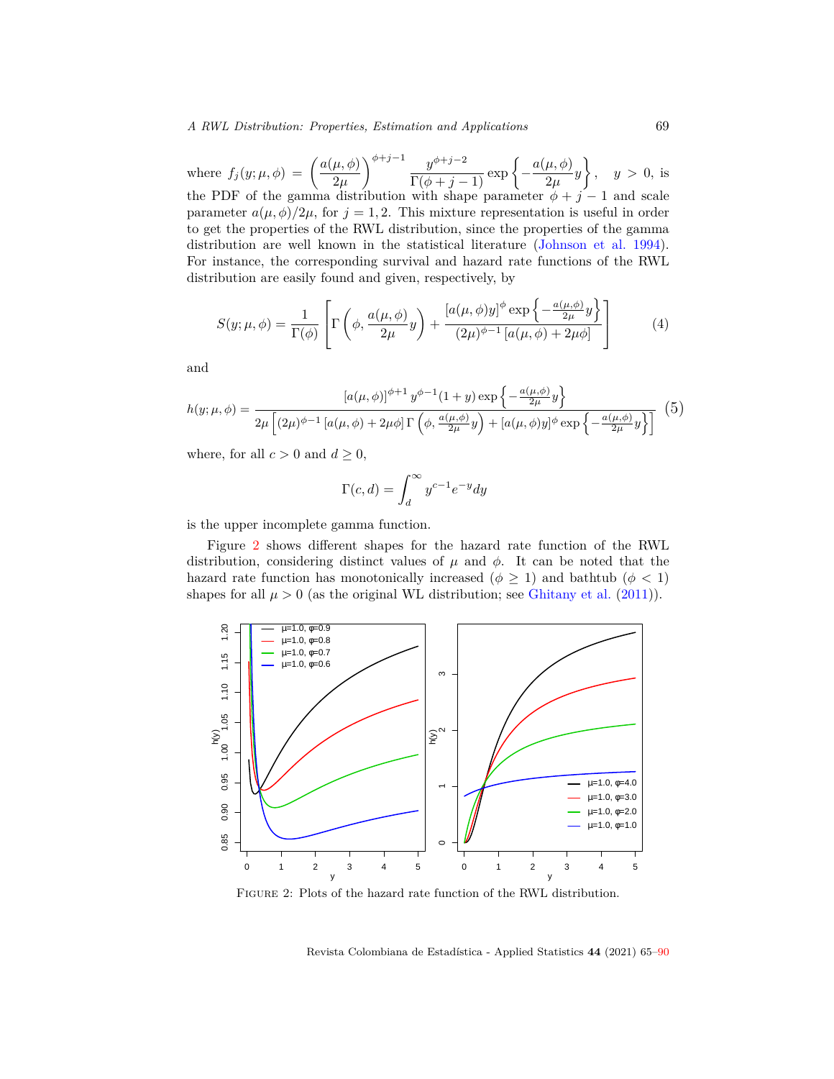*A RWL Distribution: Properties, Estimation and Applications* 69

where  $f_j(y; \mu, \phi) = \left(\frac{a(\mu, \phi)}{2\mu}\right)$ 2*µ*  $\int^{\phi+j-1} \frac{y^{\phi+j-2}}{\Gamma(\phi+j-1)} \exp \left\{-\frac{a(\mu,\phi)}{2\mu}\right\}$  $\left\{\frac{\mu,\phi}{2\mu}y\right\}, \quad y > 0, \text{ is }$ the PDF of the gamma distribution with shape parameter  $\phi + j - 1$  and scale parameter  $a(\mu, \phi)/2\mu$ , for  $j = 1, 2$ . This mixture representation is useful in order to get the properties of the RWL distribution, since the properties of the gamma distribution are well known in the statistical literature [\(Johnson et al.](#page-23-6) [1994\)](#page-23-6). For instance, the corresponding survival and hazard rate functions of the RWL distribution are easily found and given, respectively, by

<span id="page-4-1"></span>
$$
S(y; \mu, \phi) = \frac{1}{\Gamma(\phi)} \left[ \Gamma\left(\phi, \frac{a(\mu, \phi)}{2\mu} y\right) + \frac{\left[a(\mu, \phi)y\right]^{\phi} \exp\left\{-\frac{a(\mu, \phi)}{2\mu} y\right\}}{(2\mu)^{\phi-1} \left[a(\mu, \phi) + 2\mu \phi\right]} \right]
$$
(4)

and

<span id="page-4-2"></span>
$$
h(y; \mu, \phi) = \frac{\left[a(\mu, \phi)\right]^{\phi+1} y^{\phi-1} (1+y) \exp\left\{-\frac{a(\mu, \phi)}{2\mu} y\right\}}{2\mu \left[(2\mu)^{\phi-1} \left[a(\mu, \phi) + 2\mu\phi\right] \Gamma\left(\phi, \frac{a(\mu, \phi)}{2\mu} y\right) + \left[a(\mu, \phi)y\right]^{\phi} \exp\left\{-\frac{a(\mu, \phi)}{2\mu} y\right\}\right]} (5)
$$

where, for all  $c > 0$  and  $d \geq 0$ ,

$$
\Gamma(c,d) = \int_{d}^{\infty} y^{c-1} e^{-y} dy
$$

is the upper incomplete gamma function.

Figure [2](#page-4-0) shows different shapes for the hazard rate function of the RWL distribution, considering distinct values of  $\mu$  and  $\phi$ . It can be noted that the hazard rate function has monotonically increased ( $\phi \geq 1$ ) and bathtub ( $\phi < 1$ ) shapes for all  $\mu > 0$  (as the original WL distribution; see [Ghitany et al.](#page-23-2) [\(2011](#page-23-2))).



<span id="page-4-0"></span>Figure 2: Plots of the hazard rate function of the RWL distribution.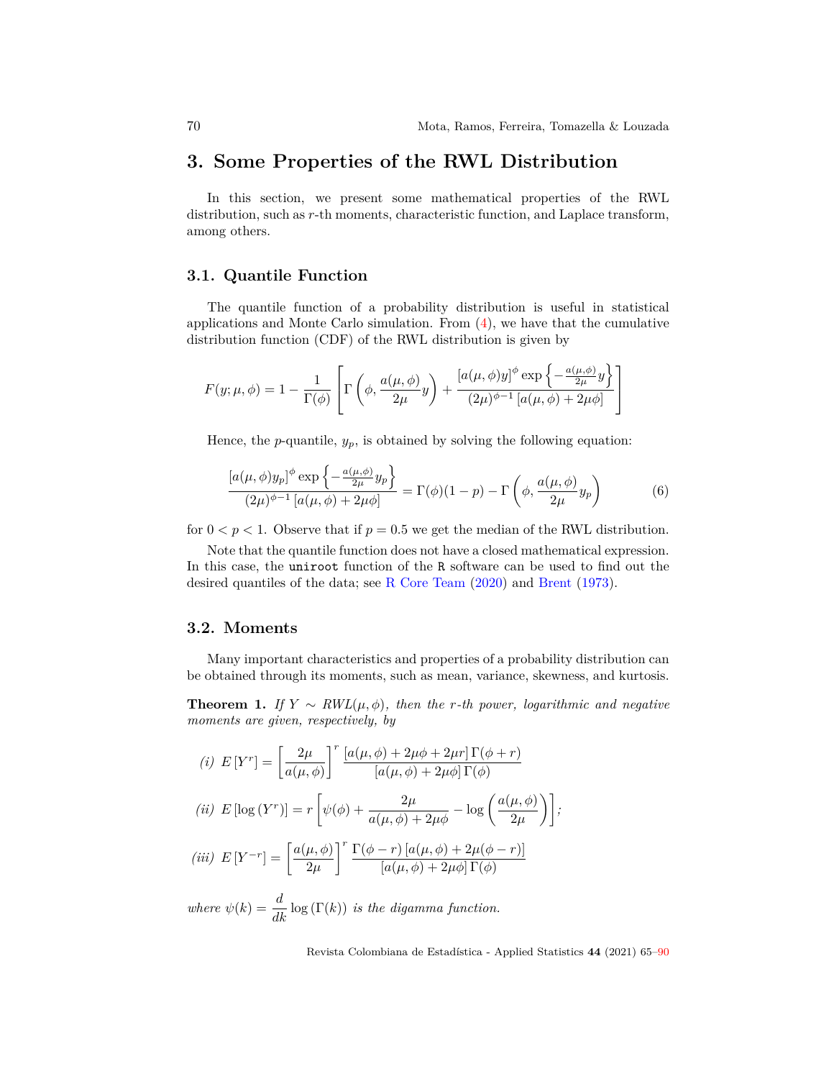### <span id="page-5-0"></span>**3. Some Properties of the RWL Distribution**

In this section, we present some mathematical properties of the RWL distribution, such as *r*-th moments, characteristic function, and Laplace transform, among others.

#### **3.1. Quantile Function**

The quantile function of a probability distribution is useful in statistical applications and Monte Carlo simulation. From ([4\)](#page-4-1), we have that the cumulative distribution function (CDF) of the RWL distribution is given by

$$
F(y; \mu, \phi) = 1 - \frac{1}{\Gamma(\phi)} \left[ \Gamma\left(\phi, \frac{a(\mu, \phi)}{2\mu}y\right) + \frac{\left[a(\mu, \phi)y\right]^{\phi} \exp\left\{-\frac{a(\mu, \phi)}{2\mu}y\right\}}{(2\mu)^{\phi - 1}\left[a(\mu, \phi) + 2\mu\phi\right]} \right]
$$

Hence, the  $p$ -quantile,  $y_p$ , is obtained by solving the following equation:

<span id="page-5-2"></span>
$$
\frac{\left[a(\mu,\phi)y_p\right]^\phi \exp\left\{-\frac{a(\mu,\phi)}{2\mu}y_p\right\}}{(2\mu)^{\phi-1}\left[a(\mu,\phi)+2\mu\phi\right]} = \Gamma(\phi)(1-p) - \Gamma\left(\phi,\frac{a(\mu,\phi)}{2\mu}y_p\right) \tag{6}
$$

for  $0 < p < 1$ . Observe that if  $p = 0.5$  we get the median of the RWL distribution.

Note that the quantile function does not have a closed mathematical expression. In this case, the uniroot function of the R software can be used to find out the desired quantiles of the data; see [R Core Team](#page-24-5) ([2020\)](#page-24-5) and [Brent](#page-22-9) [\(1973](#page-22-9)).

#### **3.2. Moments**

Many important characteristics and properties of a probability distribution can be obtained through its moments, such as mean, variance, skewness, and kurtosis.

<span id="page-5-1"></span>**Theorem 1.** *If*  $Y \sim RWL(\mu, \phi)$ *, then the r-th power, logarithmic and negative moments are given, respectively, by*

$$
(i)\ \ E\left[Y^r\right]=\left[\frac{2\mu}{a(\mu,\phi)}\right]^r \frac{[a(\mu,\phi)+2\mu\phi+2\mu r]\,\Gamma(\phi+r)}{[a(\mu,\phi)+2\mu\phi]\,\Gamma(\phi)}
$$

(ii) 
$$
E[\log(Y^r)] = r \left[ \psi(\phi) + \frac{2\mu}{a(\mu, \phi) + 2\mu\phi} - \log\left(\frac{a(\mu, \phi)}{2\mu}\right) \right]
$$
;

$$
(iii) E[Y^{-r}] = \left[\frac{a(\mu, \phi)}{2\mu}\right]^r \frac{\Gamma(\phi - r) [a(\mu, \phi) + 2\mu(\phi - r)]}{[a(\mu, \phi) + 2\mu\phi] \Gamma(\phi)}
$$

*where*  $\psi(k) = \frac{d}{dk} \log(\Gamma(k))$  *is the digamma function.*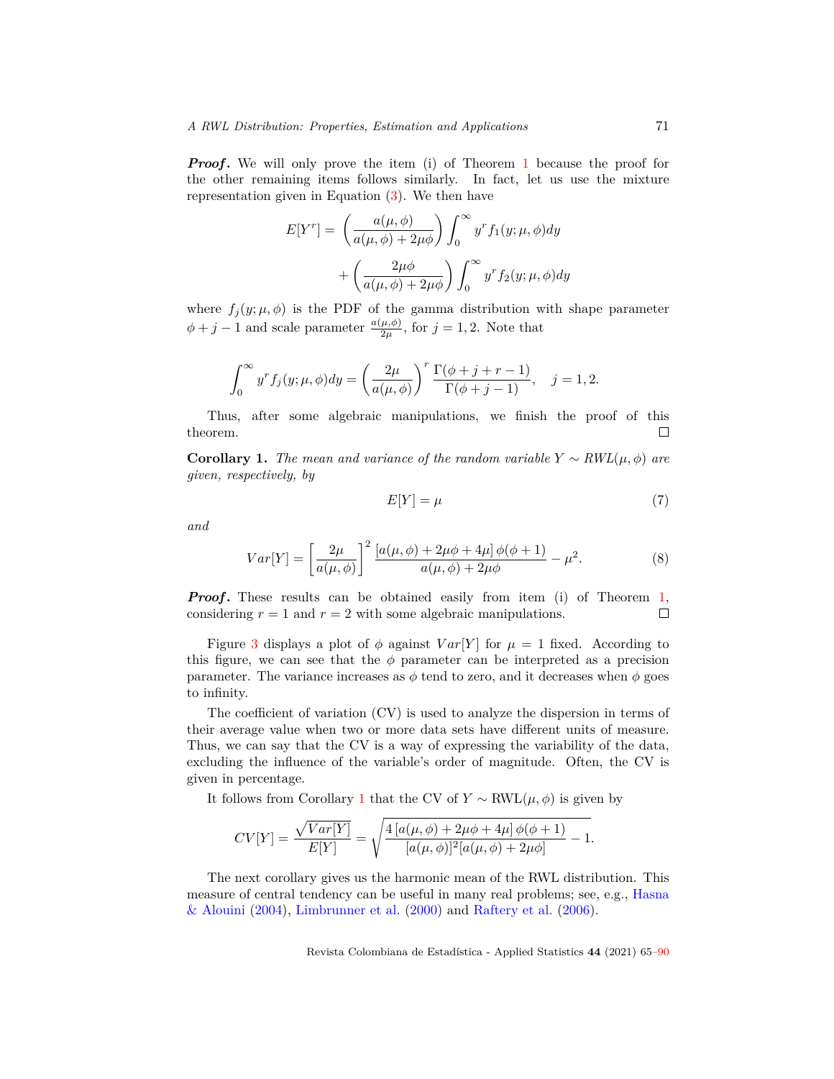*Proof.* We will only prove the item (i) of Theorem [1](#page-5-1) because the proof for the other remaining items follows similarly. In fact, let us use the mixture representation given in Equation  $(3)$  $(3)$ . We then have

$$
E[Y^r] = \left(\frac{a(\mu,\phi)}{a(\mu,\phi) + 2\mu\phi}\right) \int_0^\infty y^r f_1(y;\mu,\phi) dy
$$

$$
+ \left(\frac{2\mu\phi}{a(\mu,\phi) + 2\mu\phi}\right) \int_0^\infty y^r f_2(y;\mu,\phi) dy
$$

where  $f_j(y; \mu, \phi)$  is the PDF of the gamma distribution with shape parameter  $\phi + j - 1$  and scale parameter  $\frac{a(\mu,\phi)}{2\mu}$ , for  $j = 1,2$ . Note that

$$
\int_0^\infty y^r f_j(y;\mu,\phi) dy = \left(\frac{2\mu}{a(\mu,\phi)}\right)^r \frac{\Gamma(\phi+j+r-1)}{\Gamma(\phi+j-1)}, \quad j=1,2.
$$

Thus, after some algebraic manipulations, we finish the proof of this theorem.  $\Box$ 

<span id="page-6-0"></span>**Corollary 1.** *The mean and variance of the random variable*  $Y \sim RWL(\mu, \phi)$  *are given, respectively, by*

$$
E[Y] = \mu \tag{7}
$$

*and*

$$
Var[Y] = \left[\frac{2\mu}{a(\mu,\phi)}\right]^2 \frac{\left[a(\mu,\phi) + 2\mu\phi + 4\mu\right]\phi(\phi+1)}{a(\mu,\phi) + 2\mu\phi} - \mu^2.
$$
 (8)

*Proof.* These results can be obtained easily from item (i) of Theorem [1,](#page-5-1) considering  $r = 1$  and  $r = 2$  with some algebraic manipulations.  $\Box$ 

Figure [3](#page-7-0) displays a plot of  $\phi$  against  $Var[Y]$  for  $\mu = 1$  fixed. According to this figure, we can see that the  $\phi$  parameter can be interpreted as a precision parameter. The variance increases as  $\phi$  tend to zero, and it decreases when  $\phi$  goes to infinity.

The coefficient of variation (CV) is used to analyze the dispersion in terms of their average value when two or more data sets have different units of measure. Thus, we can say that the CV is a way of expressing the variability of the data, excluding the influence of the variable's order of magnitude. Often, the CV is given in percentage.

It follows from Corollary [1](#page-6-0) that the CV of  $Y \sim \text{RWL}(\mu, \phi)$  is given by

$$
CV[Y] = \frac{\sqrt{Var[Y]}}{E[Y]} = \sqrt{\frac{4\left[a(\mu,\phi) + 2\mu\phi + 4\mu\right]\phi(\phi+1)}{[a(\mu,\phi)]^2[a(\mu,\phi) + 2\mu\phi]}} - 1.
$$

The next corollary gives us the harmonic mean of the RWL distribution. This measure of central tendency can be useful in many real problems; see, e.g., [Hasna](#page-23-7) [& Alouini](#page-23-7) [\(2004](#page-23-7)), [Limbrunner et al.](#page-23-8) [\(2000](#page-23-8)) and [Raftery et al.](#page-24-6) [\(2006](#page-24-6)).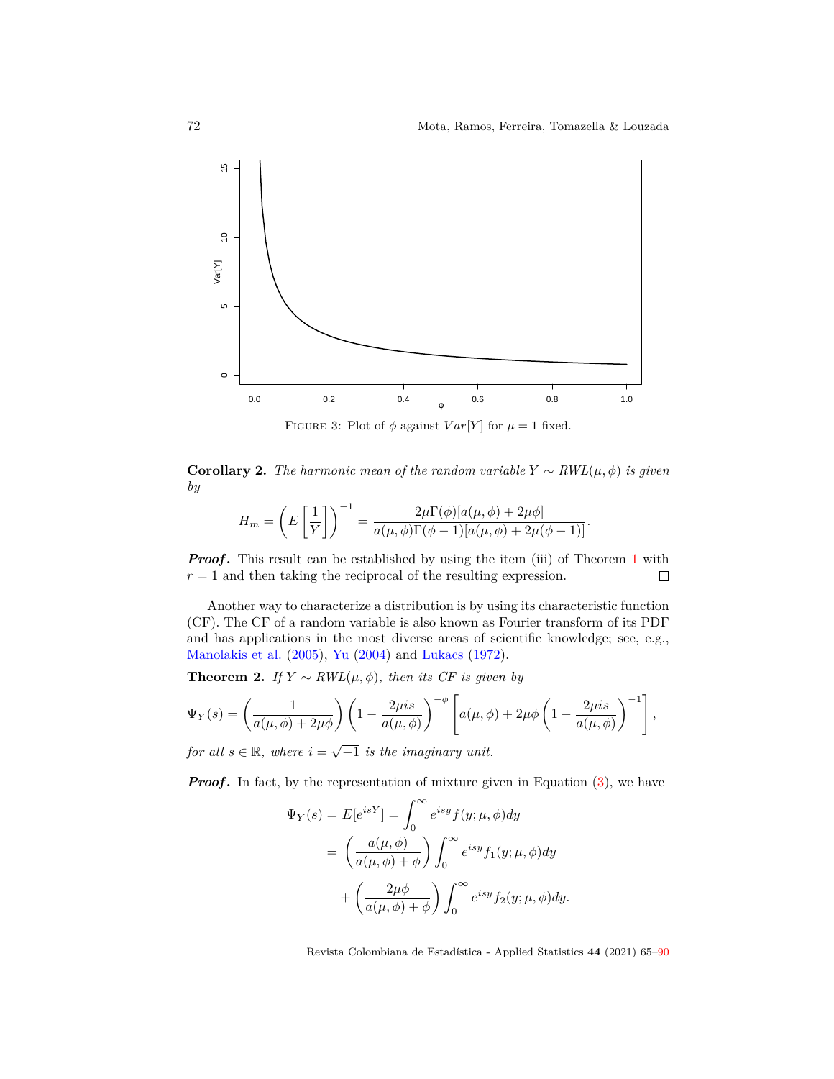

<span id="page-7-0"></span>FIGURE 3: Plot of  $\phi$  against  $Var[Y]$  for  $\mu = 1$  fixed.

**Corollary 2.** *The harmonic mean of the random variable*  $Y \sim RWL(\mu, \phi)$  *is given by*

$$
H_m = \left(E\left[\frac{1}{Y}\right]\right)^{-1} = \frac{2\mu\Gamma(\phi)[a(\mu,\phi) + 2\mu\phi]}{a(\mu,\phi)\Gamma(\phi-1)[a(\mu,\phi) + 2\mu(\phi-1)]}.
$$

*Proof*. This result can be established by using the item (iii) of Theorem [1](#page-5-1) with  $r = 1$  and then taking the reciprocal of the resulting expression.  $\Box$ 

Another way to characterize a distribution is by using its characteristic function (CF). The CF of a random variable is also known as Fourier transform of its PDF and has applications in the most diverse areas of scientific knowledge; see, e.g., [Manolakis et al.](#page-23-9) [\(2005](#page-23-9)), [Yu](#page-25-1) [\(2004](#page-25-1)) and [Lukacs](#page-23-10) [\(1972](#page-23-10)).

**Theorem 2.** *If*  $Y \sim RWL(\mu, \phi)$ *, then its CF is given by* 

$$
\Psi_Y(s) = \left(\frac{1}{a(\mu,\phi) + 2\mu\phi}\right) \left(1 - \frac{2\mu is}{a(\mu,\phi)}\right)^{-\phi} \left[a(\mu,\phi) + 2\mu\phi\left(1 - \frac{2\mu is}{a(\mu,\phi)}\right)^{-1}\right],
$$

*for all*  $s \in \mathbb{R}$ *, where*  $i = \sqrt{-1}$  *is the imaginary unit.* 

*Proof.* In fact, by the representation of mixture given in Equation ([3\)](#page-3-2), we have

$$
\Psi_Y(s) = E[e^{isY}] = \int_0^\infty e^{isy} f(y; \mu, \phi) dy
$$

$$
= \left(\frac{a(\mu, \phi)}{a(\mu, \phi) + \phi}\right) \int_0^\infty e^{isy} f_1(y; \mu, \phi) dy
$$

$$
+ \left(\frac{2\mu\phi}{a(\mu, \phi) + \phi}\right) \int_0^\infty e^{isy} f_2(y; \mu, \phi) dy.
$$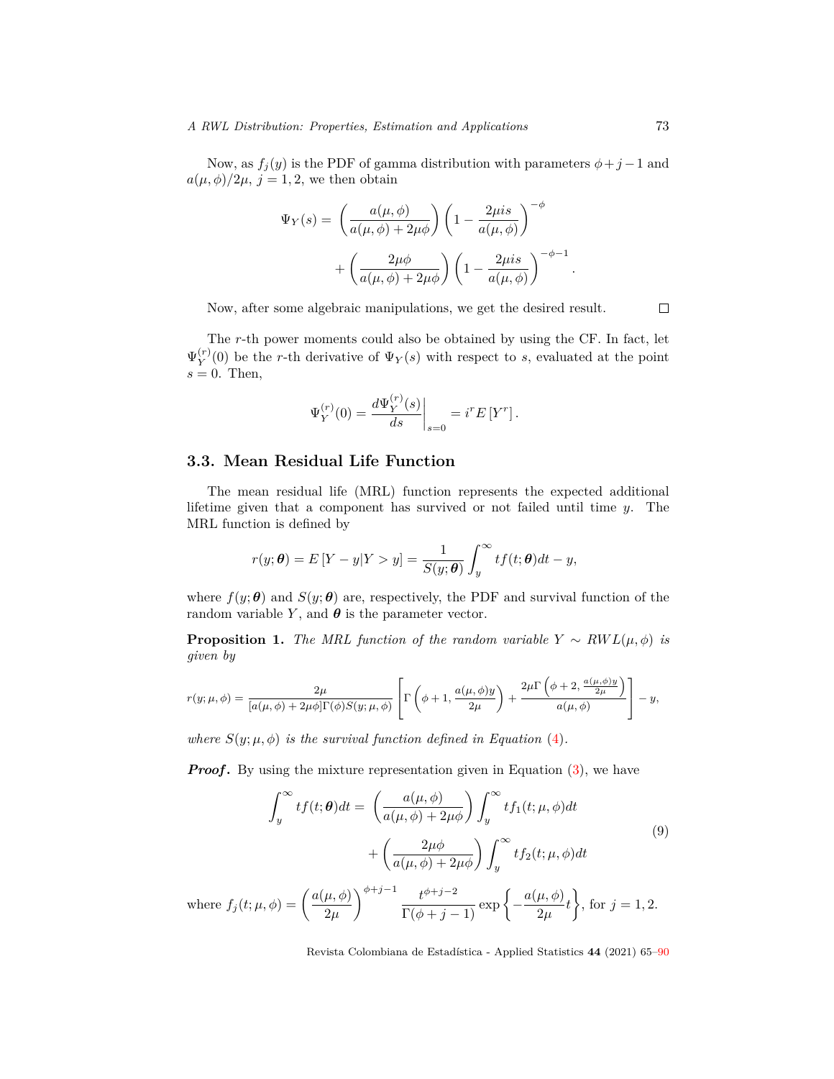Now, as  $f_j(y)$  is the PDF of gamma distribution with parameters  $\phi + j - 1$  and  $a(\mu, \phi)/2\mu$ ,  $j = 1, 2$ , we then obtain

$$
\Psi_Y(s) = \left(\frac{a(\mu,\phi)}{a(\mu,\phi) + 2\mu\phi}\right) \left(1 - \frac{2\mu is}{a(\mu,\phi)}\right)^{-\phi} \n+ \left(\frac{2\mu\phi}{a(\mu,\phi) + 2\mu\phi}\right) \left(1 - \frac{2\mu is}{a(\mu,\phi)}\right)^{-\phi-1}.
$$

Now, after some algebraic manipulations, we get the desired result.

The *r*-th power moments could also be obtained by using the CF. In fact, let  $\Psi^{(r)}_V$  $Y(Y)(0)$  be the *r*-th derivative of  $\Psi_Y(s)$  with respect to *s*, evaluated at the point  $s = 0$ . Then,

$$
\Psi_Y^{(r)}(0) = \frac{d\Psi_Y^{(r)}(s)}{ds}\bigg|_{s=0} = i^r E[Y^r].
$$

#### **3.3. Mean Residual Life Function**

The mean residual life (MRL) function represents the expected additional lifetime given that a component has survived or not failed until time *y*. The MRL function is defined by

$$
r(y; \boldsymbol{\theta}) = E[Y - y|Y > y] = \frac{1}{S(y; \boldsymbol{\theta})} \int_{y}^{\infty} tf(t; \boldsymbol{\theta}) dt - y,
$$

where  $f(y; \theta)$  and  $S(y; \theta)$  are, respectively, the PDF and survival function of the random variable  $Y$ , and  $\theta$  is the parameter vector.

**Proposition 1.** *The MRL function of the random variable*  $Y \sim RWL(\mu, \phi)$  *is given by*

$$
r(y; \mu, \phi) = \frac{2\mu}{[a(\mu, \phi) + 2\mu\phi] \Gamma(\phi) S(y; \mu, \phi)} \left[ \Gamma\left(\phi + 1, \frac{a(\mu, \phi)y}{2\mu}\right) + \frac{2\mu \Gamma\left(\phi + 2, \frac{a(\mu, \phi)y}{2\mu}\right)}{a(\mu, \phi)} \right] - y,
$$

*where*  $S(y; \mu, \phi)$  *is the survival function defined in Equation* [\(4](#page-4-1))*.* 

*Proof.* By using the mixture representation given in Equation [\(3](#page-3-2)), we have

$$
\int_{y}^{\infty} t f(t; \theta) dt = \left( \frac{a(\mu, \phi)}{a(\mu, \phi) + 2\mu\phi} \right) \int_{y}^{\infty} t f_1(t; \mu, \phi) dt
$$

$$
+ \left( \frac{2\mu\phi}{a(\mu, \phi) + 2\mu\phi} \right) \int_{y}^{\infty} t f_2(t; \mu, \phi) dt
$$

$$
f_j(t; \mu, \phi) = \left( \frac{a(\mu, \phi)}{2\mu} \right)^{\phi+j-1} \frac{t^{\phi+j-2}}{\Gamma(\phi+j-1)} \exp\left\{ -\frac{a(\mu, \phi)}{2\mu} t \right\}, \text{ for } j = 1, 2.
$$
 (9)

where  $f_j(t; \mu, \phi) =$  $\Gamma(\phi + j - 1)$  ( 2*µ* 2*µ*  $\overline{\phantom{a}}$ J

<span id="page-8-0"></span>Revista Colombiana de Estadística - Applied Statistics **44** (2021) 65[–90](#page-22-0)

 $\Box$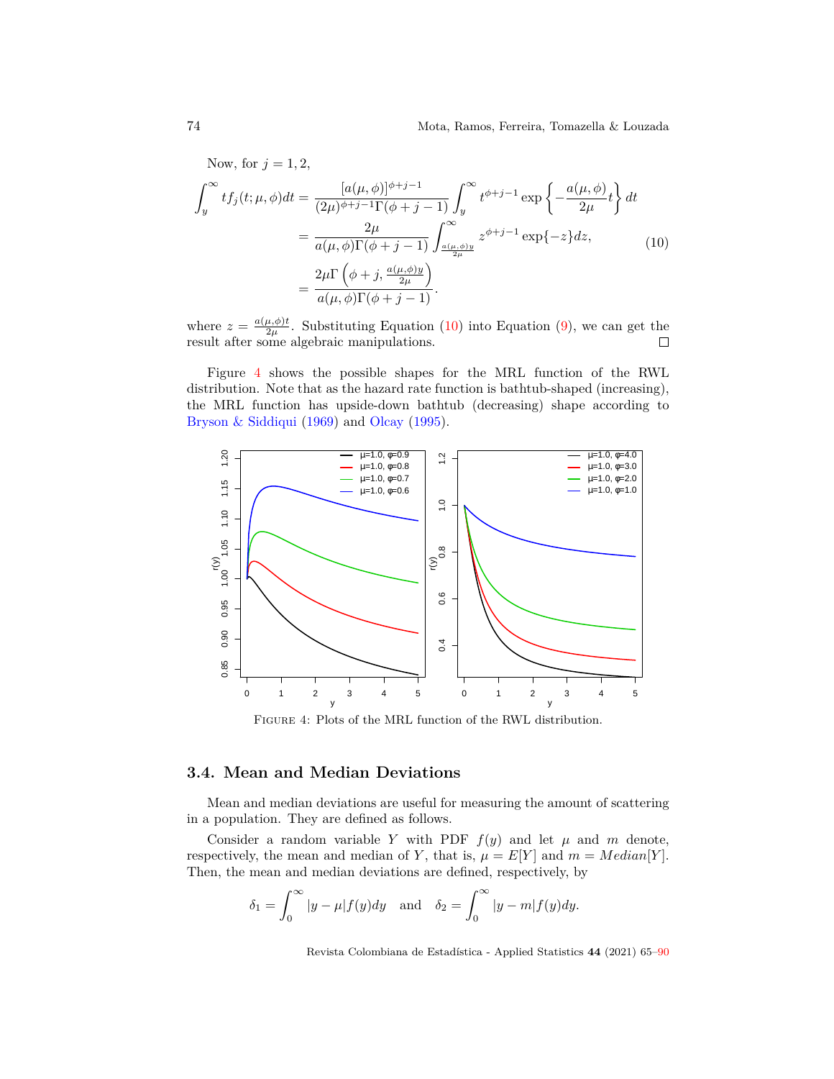<span id="page-9-0"></span>Now, for 
$$
j = 1, 2
$$
,  
\n
$$
\int_{y}^{\infty} t f_j(t; \mu, \phi) dt = \frac{[a(\mu, \phi)]^{\phi+j-1}}{(2\mu)^{\phi+j-1}\Gamma(\phi+j-1)} \int_{y}^{\infty} t^{\phi+j-1} \exp\left\{-\frac{a(\mu, \phi)}{2\mu}t\right\} dt
$$
\n
$$
= \frac{2\mu}{a(\mu, \phi)\Gamma(\phi+j-1)} \int_{\frac{a(\mu, \phi)y}{2\mu}}^{\infty} z^{\phi+j-1} \exp\{-z\} dz,
$$
\n
$$
= \frac{2\mu \Gamma\left(\phi+j, \frac{a(\mu, \phi)y}{2\mu}\right)}{a(\mu, \phi)\Gamma(\phi+j-1)}.
$$
\n(10)

where  $z = \frac{a(\mu, \phi)t}{2\mu}$  $\frac{\mu,\varphi\right)t}{2\mu}$ . Substituting Equation ([10\)](#page-9-0) into Equation ([9\)](#page-8-0), we can get the result after some algebraic manipulations.

Figure [4](#page-9-1) shows the possible shapes for the MRL function of the RWL distribution. Note that as the hazard rate function is bathtub-shaped (increasing), the MRL function has upside-down bathtub (decreasing) shape according to [Bryson & Siddiqui](#page-22-10) [\(1969](#page-22-10)) and [Olcay](#page-24-7) ([1995\)](#page-24-7).



<span id="page-9-1"></span>Figure 4: Plots of the MRL function of the RWL distribution.

### **3.4. Mean and Median Deviations**

Mean and median deviations are useful for measuring the amount of scattering in a population. They are defined as follows.

Consider a random variable *Y* with PDF  $f(y)$  and let  $\mu$  and *m* denote, respectively, the mean and median of *Y*, that is,  $\mu = E[Y]$  and  $m = Median[Y]$ . Then, the mean and median deviations are defined, respectively, by

$$
\delta_1 = \int_0^\infty |y - \mu| f(y) dy \quad \text{and} \quad \delta_2 = \int_0^\infty |y - m| f(y) dy.
$$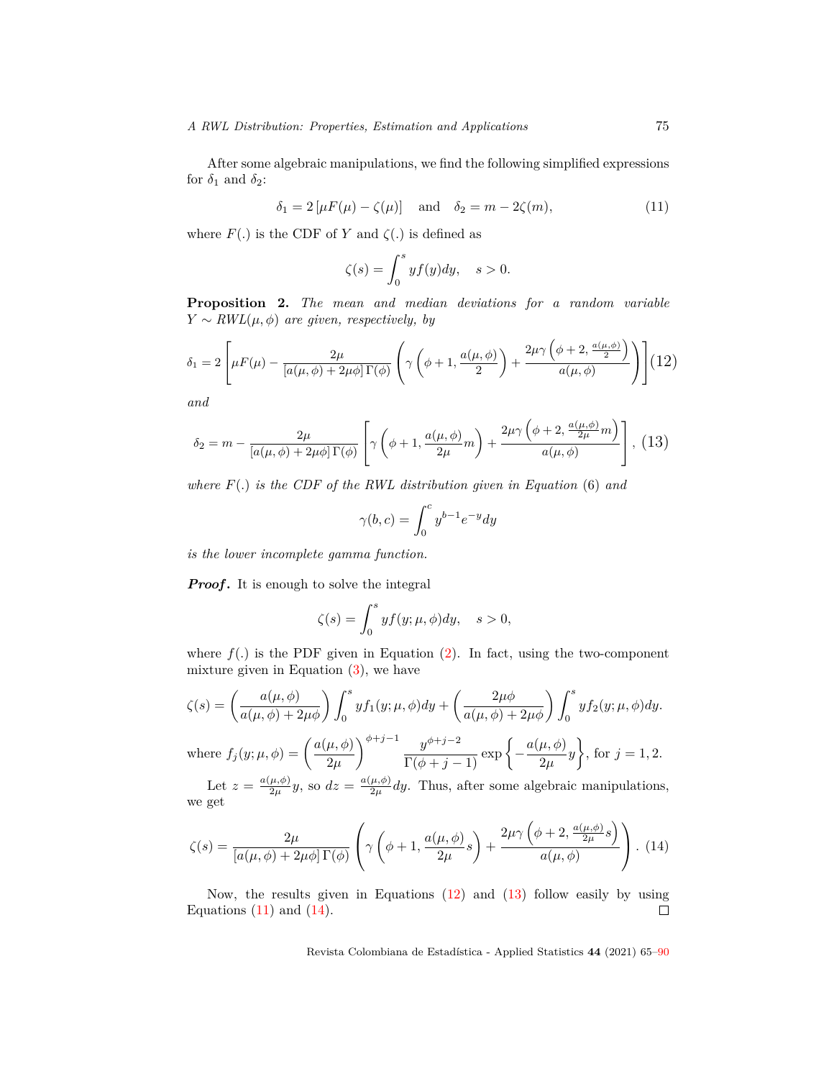After some algebraic manipulations, we find the following simplified expressions for  $\delta_1$  and  $\delta_2$ :

<span id="page-10-2"></span>
$$
\delta_1 = 2\left[\mu F(\mu) - \zeta(\mu)\right] \quad \text{and} \quad \delta_2 = m - 2\zeta(m),\tag{11}
$$

where  $F(.)$  is the CDF of  $Y$  and  $\zeta(.)$  is defined as

$$
\zeta(s) = \int_0^s y f(y) dy, \quad s > 0.
$$

**Proposition 2.** *The mean and median deviations for a random variable Y ∼ RWL*(*µ, ϕ*) *are given, respectively, by*

<span id="page-10-0"></span>
$$
\delta_1 = 2 \left[ \mu F(\mu) - \frac{2\mu}{\left[ a(\mu,\phi) + 2\mu\phi \right] \Gamma(\phi)} \left( \gamma \left( \phi + 1, \frac{a(\mu,\phi)}{2} \right) + \frac{2\mu\gamma \left( \phi + 2, \frac{a(\mu,\phi)}{2} \right)}{a(\mu,\phi)} \right) \right] (12)
$$

*and*

<span id="page-10-1"></span>
$$
\delta_2 = m - \frac{2\mu}{[a(\mu,\phi) + 2\mu\phi] \Gamma(\phi)} \left[ \gamma \left( \phi + 1, \frac{a(\mu,\phi)}{2\mu} m \right) + \frac{2\mu\gamma \left( \phi + 2, \frac{a(\mu,\phi)}{2\mu} m \right)}{a(\mu,\phi)} \right],
$$
(13)

*where F*(*.*) *is the CDF of the RWL distribution given in Equation* (6) *and*

$$
\gamma(b,c) = \int_0^c y^{b-1} e^{-y} dy
$$

*is the lower incomplete gamma function.*

*Proof.* It is enough to solve the integral

$$
\zeta(s) = \int_0^s y f(y; \mu, \phi) dy, \quad s > 0,
$$

where  $f(.)$  is the PDF given in Equation ([2\)](#page-3-1). In fact, using the two-component mixture given in Equation  $(3)$  $(3)$ , we have

$$
\zeta(s) = \left(\frac{a(\mu,\phi)}{a(\mu,\phi) + 2\mu\phi}\right) \int_0^s y f_1(y;\mu,\phi) dy + \left(\frac{2\mu\phi}{a(\mu,\phi) + 2\mu\phi}\right) \int_0^s y f_2(y;\mu,\phi) dy.
$$

where 
$$
f_j(y; \mu, \phi) = \left(\frac{a(\mu, \phi)}{2\mu}\right)^{\phi+j-1} \frac{y^{\phi+j-2}}{\Gamma(\phi+j-1)} \exp\left\{-\frac{a(\mu, \phi)}{2\mu}y\right\}
$$
, for  $j = 1, 2$ .

Let  $z = \frac{a(\mu,\phi)}{2\mu}$  $\frac{\partial \mu}{\partial \mu} y$ , so  $dz = \frac{a(\mu, \phi)}{2\mu}$  $\frac{\mu,\varphi}{2\mu}dy$ . Thus, after some algebraic manipulations, we get

<span id="page-10-3"></span>
$$
\zeta(s) = \frac{2\mu}{[a(\mu,\phi) + 2\mu\phi]\,\Gamma(\phi)} \left( \gamma\left(\phi+1,\frac{a(\mu,\phi)}{2\mu}s\right) + \frac{2\mu\gamma\left(\phi+2,\frac{a(\mu,\phi)}{2\mu}s\right)}{a(\mu,\phi)} \right). \tag{14}
$$

Now, the results given in Equations [\(12](#page-10-0)) and ([13\)](#page-10-1) follow easily by using Equations  $(11)$  $(11)$  and  $(14)$  $(14)$ .  $\Box$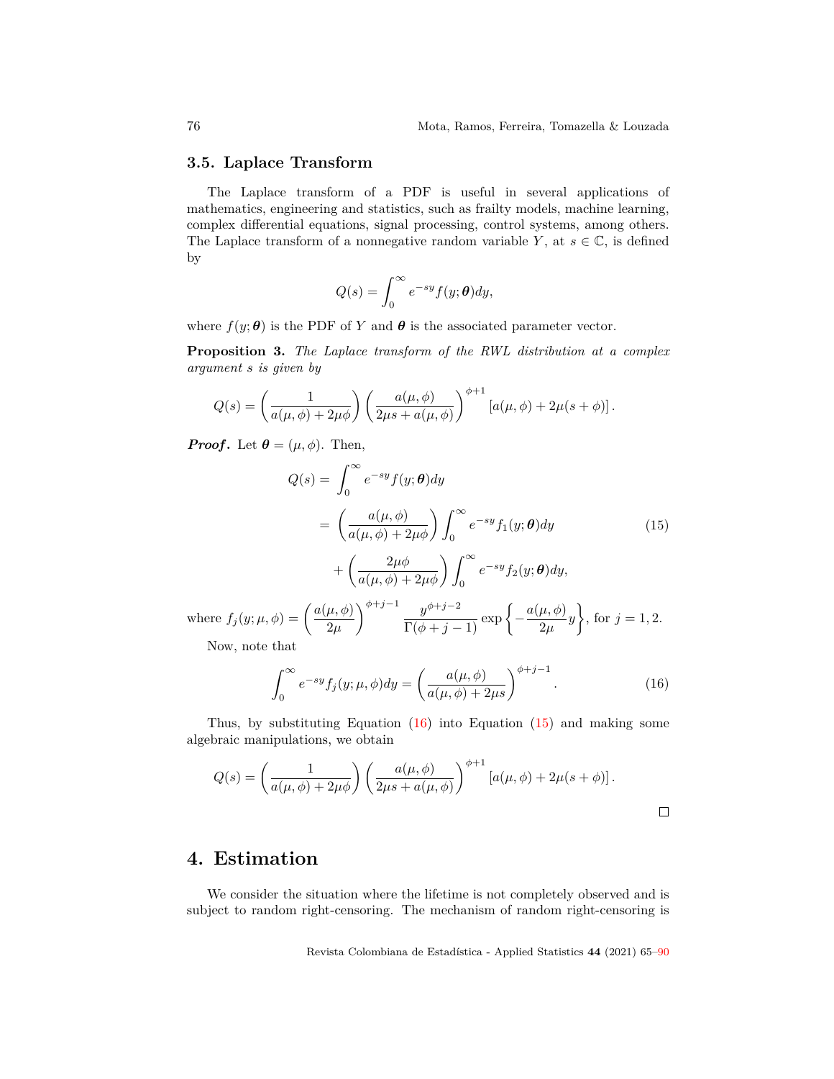#### **3.5. Laplace Transform**

The Laplace transform of a PDF is useful in several applications of mathematics, engineering and statistics, such as frailty models, machine learning, complex differential equations, signal processing, control systems, among others. The Laplace transform of a nonnegative random variable  $Y$ , at  $s \in \mathbb{C}$ , is defined by

$$
Q(s) = \int_0^\infty e^{-sy} f(y; \theta) dy,
$$

where  $f(y; \theta)$  is the PDF of *Y* and  $\theta$  is the associated parameter vector.

**Proposition 3.** *The Laplace transform of the RWL distribution at a complex argument s is given by*

$$
Q(s) = \left(\frac{1}{a(\mu,\phi) + 2\mu\phi}\right) \left(\frac{a(\mu,\phi)}{2\mu s + a(\mu,\phi)}\right)^{\phi+1} \left[a(\mu,\phi) + 2\mu(s+\phi)\right].
$$

*Proof.* Let  $\theta = (\mu, \phi)$ . Then,

<span id="page-11-2"></span>
$$
Q(s) = \int_0^\infty e^{-sy} f(y; \theta) dy
$$
  
=  $\left(\frac{a(\mu, \phi)}{a(\mu, \phi) + 2\mu\phi}\right) \int_0^\infty e^{-sy} f_1(y; \theta) dy$  (15)  
+  $\left(\frac{2\mu\phi}{a(\mu, \phi) + 2\mu\phi}\right) \int_0^\infty e^{-sy} f_2(y; \theta) dy,$ 

where  $f_j(y; \mu, \phi) = \left(\frac{a(\mu, \phi)}{2\mu}\right)$ 2*µ*  $\int^{\phi+j-1} \frac{y^{\phi+j-2}}{\Gamma(\phi+j-1)} \exp \left\{-\frac{a(\mu,\phi)}{2\mu}\right\}$  $\left\{\frac{\mu,\phi}{2\mu}y\right\}$ , for  $j=1,2$ . Now, note that

<span id="page-11-1"></span>
$$
\int_0^\infty e^{-sy} f_j(y; \mu, \phi) dy = \left( \frac{a(\mu, \phi)}{a(\mu, \phi) + 2\mu s} \right)^{\phi + j - 1}.
$$
 (16)

Thus, by substituting Equation  $(16)$  $(16)$  into Equation  $(15)$  $(15)$  and making some algebraic manipulations, we obtain

$$
Q(s) = \left(\frac{1}{a(\mu,\phi) + 2\mu\phi}\right) \left(\frac{a(\mu,\phi)}{2\mu s + a(\mu,\phi)}\right)^{\phi+1} \left[a(\mu,\phi) + 2\mu(s+\phi)\right].
$$

## <span id="page-11-0"></span>**4. Estimation**

We consider the situation where the lifetime is not completely observed and is subject to random right-censoring. The mechanism of random right-censoring is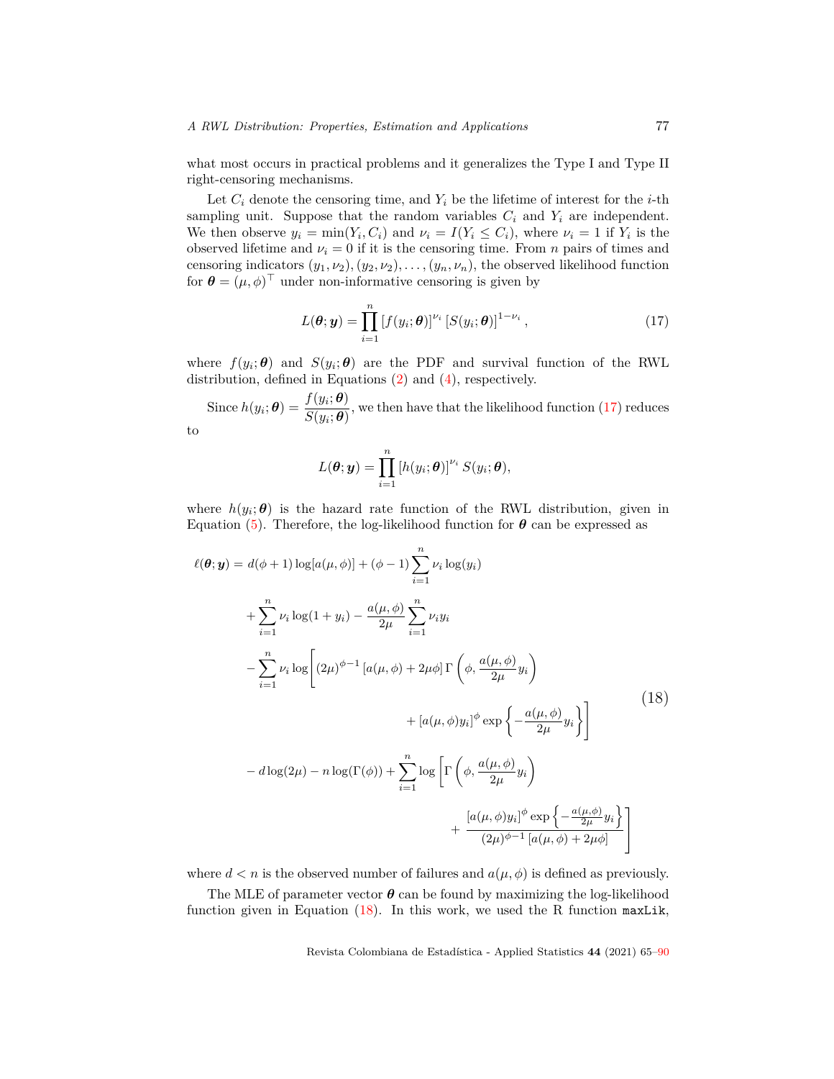what most occurs in practical problems and it generalizes the Type I and Type II right-censoring mechanisms.

Let  $C_i$  denote the censoring time, and  $Y_i$  be the lifetime of interest for the *i*-th sampling unit. Suppose that the random variables  $C_i$  and  $Y_i$  are independent. We then observe  $y_i = \min(Y_i, C_i)$  and  $\nu_i = I(Y_i \leq C_i)$ , where  $\nu_i = 1$  if  $Y_i$  is the observed lifetime and  $\nu_i = 0$  if it is the censoring time. From *n* pairs of times and censoring indicators  $(y_1, \nu_2), (y_2, \nu_2), \ldots, (y_n, \nu_n)$ , the observed likelihood function for  $\boldsymbol{\theta} = (\mu, \phi)^{\top}$  under non-informative censoring is given by

<span id="page-12-0"></span>
$$
L(\boldsymbol{\theta}; \boldsymbol{y}) = \prod_{i=1}^{n} \left[ f(y_i; \boldsymbol{\theta}) \right]^{\nu_i} \left[ S(y_i; \boldsymbol{\theta}) \right]^{1-\nu_i}, \qquad (17)
$$

where  $f(y_i; \theta)$  and  $S(y_i; \theta)$  are the PDF and survival function of the RWL distribution, defined in Equations ([2](#page-3-1)) and [\(4](#page-4-1)), respectively.

 $Sinee h(y_i; \theta) = \frac{f(y_i; \theta)}{c(y_i; \theta)}$  $\frac{\partial (y_i, \theta)}{\partial (y_i; \theta)}$ , we then have that the likelihood function [\(17](#page-12-0)) reduces to

<span id="page-12-1"></span>
$$
L(\boldsymbol{\theta}; \boldsymbol{y}) = \prod_{i=1}^n \left[h(y_i; \boldsymbol{\theta})\right]^{\nu_i} S(y_i; \boldsymbol{\theta}),
$$

where  $h(y_i; \theta)$  is the hazard rate function of the RWL distribution, given in Equation [\(5](#page-4-2)). Therefore, the log-likelihood function for  $\theta$  can be expressed as

$$
\ell(\theta; \mathbf{y}) = d(\phi + 1) \log[a(\mu, \phi)] + (\phi - 1) \sum_{i=1}^{n} \nu_i \log(y_i)
$$
  
+ 
$$
\sum_{i=1}^{n} \nu_i \log(1 + y_i) - \frac{a(\mu, \phi)}{2\mu} \sum_{i=1}^{n} \nu_i y_i
$$
  
- 
$$
\sum_{i=1}^{n} \nu_i \log \left[ (2\mu)^{\phi - 1} [a(\mu, \phi) + 2\mu \phi] \Gamma \left( \phi, \frac{a(\mu, \phi)}{2\mu} y_i \right) + [a(\mu, \phi)y_i]^{\phi} \exp \left\{ -\frac{a(\mu, \phi)}{2\mu} y_i \right\} \right]
$$
(18)  
- 
$$
d \log(2\mu) - n \log(\Gamma(\phi)) + \sum_{i=1}^{n} \log \left[ \Gamma \left( \phi, \frac{a(\mu, \phi)}{2\mu} y_i \right) + \frac{[a(\mu, \phi)y_i]^{\phi} \exp \left\{ -\frac{a(\mu, \phi)}{2\mu} y_i \right\}}{(2\mu)^{\phi - 1} [a(\mu, \phi) + 2\mu \phi]}
$$
(2)

where  $d < n$  is the observed number of failures and  $a(\mu, \phi)$  is defined as previously.

The MLE of parameter vector  $\theta$  can be found by maximizing the log-likelihood function given in Equation  $(18)$  $(18)$  $(18)$ . In this work, we used the R function maxLik,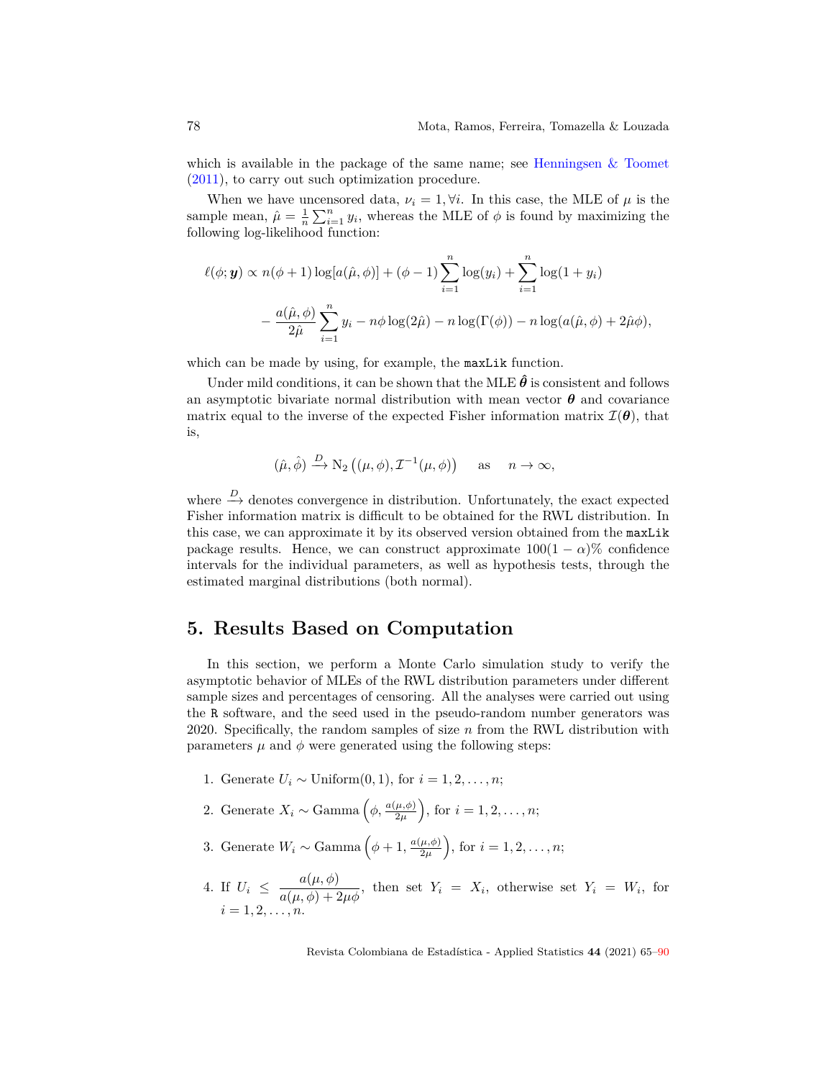which is available in the package of the same name; see Henningsen  $\&$  Toomet [\(2011\)](#page-23-11), to carry out such optimization procedure.

When we have uncensored data,  $\nu_i = 1, \forall i$ . In this case, the MLE of  $\mu$  is the sample mean,  $\hat{\mu} = \frac{1}{n} \sum_{i=1}^{n} y_i$ , whereas the MLE of  $\phi$  is found by maximizing the following log-likelihood function:

$$
\ell(\phi; \mathbf{y}) \propto n(\phi+1) \log[a(\hat{\mu}, \phi)] + (\phi-1) \sum_{i=1}^{n} \log(y_i) + \sum_{i=1}^{n} \log(1+y_i)
$$

$$
- \frac{a(\hat{\mu}, \phi)}{2\hat{\mu}} \sum_{i=1}^{n} y_i - n\phi \log(2\hat{\mu}) - n \log(\Gamma(\phi)) - n \log(a(\hat{\mu}, \phi) + 2\hat{\mu}\phi),
$$

which can be made by using, for example, the maxLik function.

Under mild conditions, it can be shown that the MLE  $\hat{\theta}$  is consistent and follows an asymptotic bivariate normal distribution with mean vector  $\theta$  and covariance matrix equal to the inverse of the expected Fisher information matrix  $\mathcal{I}(\boldsymbol{\theta})$ , that is,

$$
(\hat{\mu}, \hat{\phi}) \xrightarrow{D} N_2 ((\mu, \phi), \mathcal{I}^{-1}(\mu, \phi))
$$
 as  $n \to \infty$ ,

where *<sup>D</sup> −→* denotes convergence in distribution. Unfortunately, the exact expected Fisher information matrix is difficult to be obtained for the RWL distribution. In this case, we can approximate it by its observed version obtained from the maxLik package results. Hence, we can construct approximate  $100(1 - \alpha)$ % confidence intervals for the individual parameters, as well as hypothesis tests, through the estimated marginal distributions (both normal).

# <span id="page-13-0"></span>**5. Results Based on Computation**

In this section, we perform a Monte Carlo simulation study to verify the asymptotic behavior of MLEs of the RWL distribution parameters under different sample sizes and percentages of censoring. All the analyses were carried out using the R software, and the seed used in the pseudo-random number generators was 2020. Specifically, the random samples of size *n* from the RWL distribution with parameters  $\mu$  and  $\phi$  were generated using the following steps:

- 1. Generate  $U_i \sim \text{Uniform}(0, 1)$ , for  $i = 1, 2, ..., n$ ;
- 2. Generate  $X_i \sim \text{Gamma} \left( \phi, \frac{a(\mu, \phi)}{2\mu} \right)$ , for  $i = 1, 2, \ldots, n$ ;
- 3. Generate  $W_i \sim \text{Gamma} \left( \phi + 1, \frac{a(\mu, \phi)}{2\mu} \right)$  $\left(\frac{\mu,\phi}{2\mu}\right)$ , for  $i=1,2,\ldots,n;$
- 4. If  $U_i \leq \frac{a(\mu, \phi)}{a(\mu, \phi) + 2\mu\phi}$ , then set  $Y_i = X_i$ , otherwise set  $Y_i = W_i$ , for  $i = 1, 2, \ldots, n$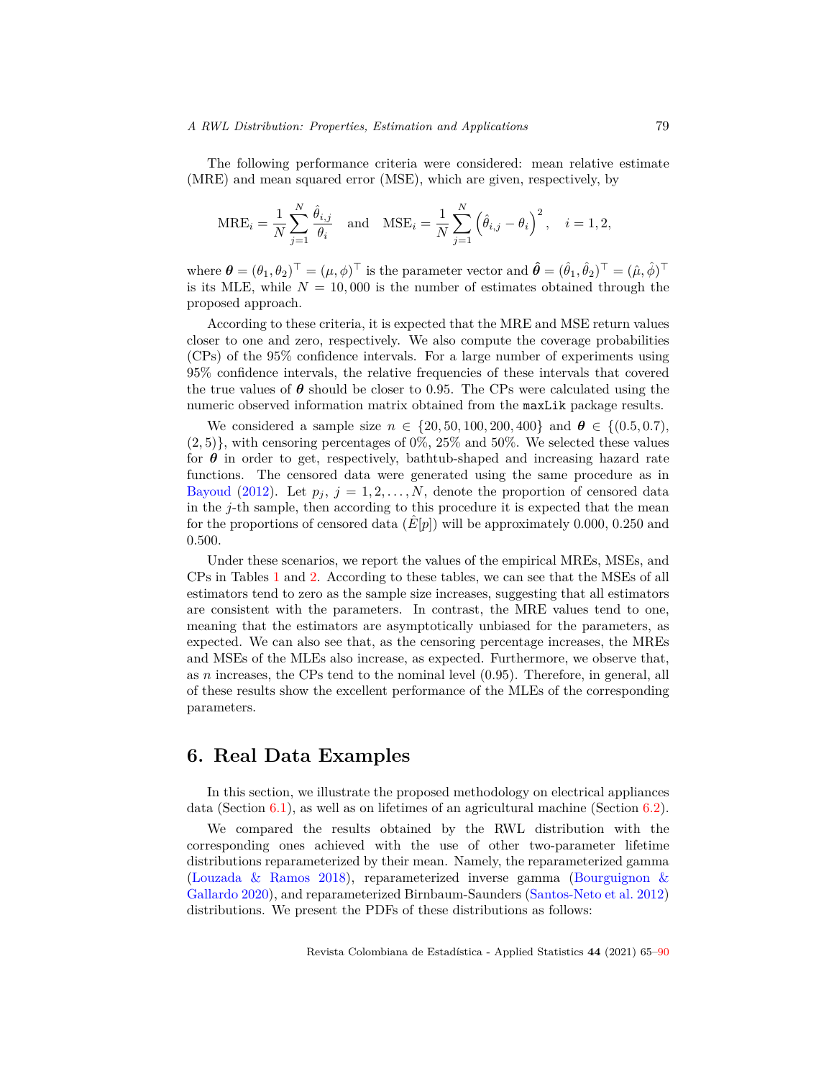The following performance criteria were considered: mean relative estimate (MRE) and mean squared error (MSE), which are given, respectively, by

$$
\text{MRE}_{i} = \frac{1}{N} \sum_{j=1}^{N} \frac{\hat{\theta}_{i,j}}{\theta_i} \quad \text{and} \quad \text{MSE}_{i} = \frac{1}{N} \sum_{j=1}^{N} (\hat{\theta}_{i,j} - \theta_i)^2, \quad i = 1, 2,
$$

where  $\boldsymbol{\theta} = (\theta_1, \theta_2)^\top = (\mu, \phi)^\top$  is the parameter vector and  $\hat{\boldsymbol{\theta}} = (\hat{\theta}_1, \hat{\theta}_2)^\top = (\hat{\mu}, \hat{\phi})^\top$ is its MLE, while  $N = 10,000$  is the number of estimates obtained through the proposed approach.

According to these criteria, it is expected that the MRE and MSE return values closer to one and zero, respectively. We also compute the coverage probabilities (CPs) of the 95% confidence intervals. For a large number of experiments using 95% confidence intervals, the relative frequencies of these intervals that covered the true values of  $\theta$  should be closer to 0.95. The CPs were calculated using the numeric observed information matrix obtained from the maxLik package results.

We considered a sample size  $n \in \{20, 50, 100, 200, 400\}$  and  $\theta \in \{(0.5, 0.7),\}$  $(2,5)$ }, with censoring percentages of 0%, 25% and 50%. We selected these values for  $\theta$  in order to get, respectively, bathtub-shaped and increasing hazard rate functions. The censored data were generated using the same procedure as in [Bayoud](#page-22-11) ([2012\)](#page-22-11). Let  $p_j$ ,  $j = 1, 2, \ldots, N$ , denote the proportion of censored data in the *j*-th sample, then according to this procedure it is expected that the mean for the proportions of censored data  $(E[p])$  will be approximately 0.000, 0.250 and 0.500.

Under these scenarios, we report the values of the empirical MREs, MSEs, and CPs in Tables [1](#page-15-0) and [2.](#page-15-1) According to these tables, we can see that the MSEs of all estimators tend to zero as the sample size increases, suggesting that all estimators are consistent with the parameters. In contrast, the MRE values tend to one, meaning that the estimators are asymptotically unbiased for the parameters, as expected. We can also see that, as the censoring percentage increases, the MREs and MSEs of the MLEs also increase, as expected. Furthermore, we observe that, as *n* increases, the CPs tend to the nominal level (0*.*95). Therefore, in general, all of these results show the excellent performance of the MLEs of the corresponding parameters.

# <span id="page-14-0"></span>**6. Real Data Examples**

In this section, we illustrate the proposed methodology on electrical appliances data (Section [6.1\)](#page-16-0), as well as on lifetimes of an agricultural machine (Section [6.2\)](#page-18-0).

We compared the results obtained by the RWL distribution with the corresponding ones achieved with the use of other two-parameter lifetime distributions reparameterized by their mean. Namely, the reparameterized gamma [\(Louzada & Ramos](#page-23-12) [2018\)](#page-23-12), reparameterized inverse gamma ([Bourguignon &](#page-22-7) [Gallardo](#page-22-7) [2020](#page-22-7)), and reparameterized Birnbaum-Saunders [\(Santos-Neto et al.](#page-24-8) [2012\)](#page-24-8) distributions. We present the PDFs of these distributions as follows: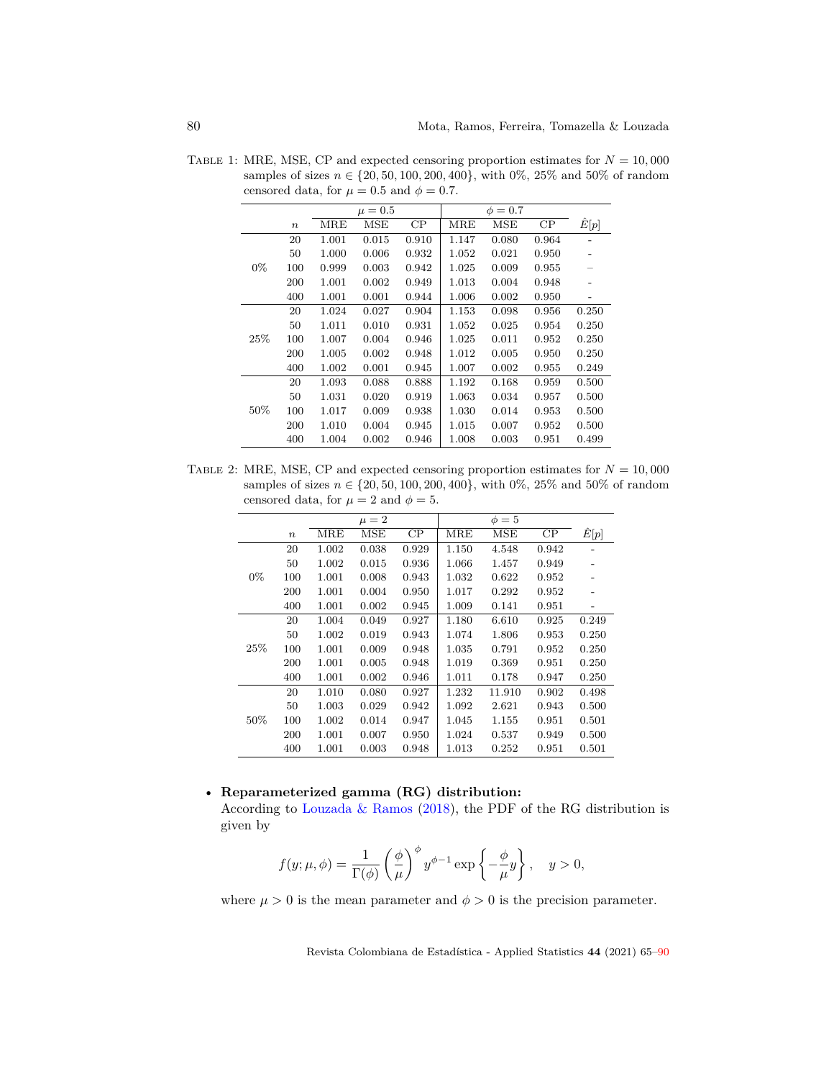|       |        |            | $\mu=0.5$ |       |       | $\phi = 0.7$ |       |              |
|-------|--------|------------|-----------|-------|-------|--------------|-------|--------------|
|       | $\, n$ | <b>MRE</b> | MSE       | CP    | MRE   | MSE          | CP    | $\hat{E}[p]$ |
|       | 20     | 1.001      | 0.015     | 0.910 | 1.147 | 0.080        | 0.964 |              |
|       | 50     | 1.000      | 0.006     | 0.932 | 1.052 | 0.021        | 0.950 |              |
| $0\%$ | 100    | 0.999      | 0.003     | 0.942 | 1.025 | 0.009        | 0.955 |              |
|       | 200    | 1.001      | 0.002     | 0.949 | 1.013 | 0.004        | 0.948 |              |
|       | 400    | 1.001      | 0.001     | 0.944 | 1.006 | 0.002        | 0.950 |              |
|       | 20     | 1.024      | 0.027     | 0.904 | 1.153 | 0.098        | 0.956 | 0.250        |
|       | 50     | 1.011      | 0.010     | 0.931 | 1.052 | 0.025        | 0.954 | 0.250        |
| 25\%  | 100    | 1.007      | 0.004     | 0.946 | 1.025 | 0.011        | 0.952 | 0.250        |
|       | 200    | 1.005      | 0.002     | 0.948 | 1.012 | 0.005        | 0.950 | 0.250        |
|       | 400    | 1.002      | 0.001     | 0.945 | 1.007 | 0.002        | 0.955 | 0.249        |
|       | 20     | 1.093      | 0.088     | 0.888 | 1.192 | 0.168        | 0.959 | 0.500        |
| 50%   | 50     | 1.031      | 0.020     | 0.919 | 1.063 | 0.034        | 0.957 | 0.500        |
|       | 100    | 1.017      | 0.009     | 0.938 | 1.030 | 0.014        | 0.953 | 0.500        |
|       | 200    | 1.010      | 0.004     | 0.945 | 1.015 | 0.007        | 0.952 | 0.500        |
|       | 400    | 1.004      | 0.002     | 0.946 | 1.008 | 0.003        | 0.951 | 0.499        |

<span id="page-15-0"></span>TABLE 1: MRE, MSE, CP and expected censoring proportion estimates for  $N = 10,000$ samples of sizes *n ∈ {*20*,* 50*,* 100*,* 200*,* 400*}*, with 0%, 25% and 50% of random censored data, for  $\mu = 0.5$  and  $\phi = 0.7$ .

<span id="page-15-1"></span>TABLE 2: MRE, MSE, CP and expected censoring proportion estimates for  $N = 10,000$ samples of sizes *n ∈ {*20*,* 50*,* 100*,* 200*,* 400*}*, with 0%, 25% and 50% of random censored data, for  $\mu = 2$  and  $\phi = 5$ .

|       |                  |            | $\mu = 2$  |       |            | $\phi=5$   |       |              |
|-------|------------------|------------|------------|-------|------------|------------|-------|--------------|
|       |                  |            |            |       |            |            |       |              |
|       | $\boldsymbol{n}$ | <b>MRE</b> | <b>MSE</b> | CP    | <b>MRE</b> | <b>MSE</b> | CP    | $\hat{E}[p]$ |
|       | 20               | 1.002      | 0.038      | 0.929 | 1.150      | 4.548      | 0.942 |              |
|       | 50               | 1.002      | 0.015      | 0.936 | 1.066      | 1.457      | 0.949 |              |
| $0\%$ | 100              | 1.001      | 0.008      | 0.943 | 1.032      | 0.622      | 0.952 |              |
|       | 200              | 1.001      | 0.004      | 0.950 | 1.017      | 0.292      | 0.952 |              |
|       | 400              | 1.001      | 0.002      | 0.945 | 1.009      | 0.141      | 0.951 |              |
|       | 20               | 1.004      | 0.049      | 0.927 | 1.180      | 6.610      | 0.925 | 0.249        |
|       | 50               | 1.002      | 0.019      | 0.943 | 1.074      | 1.806      | 0.953 | 0.250        |
| 25%   | 100              | 1.001      | 0.009      | 0.948 | 1.035      | 0.791      | 0.952 | 0.250        |
|       | 200              | 1.001      | 0.005      | 0.948 | 1.019      | 0.369      | 0.951 | 0.250        |
|       | 400              | 1.001      | 0.002      | 0.946 | 1.011      | 0.178      | 0.947 | 0.250        |
|       | 20               | 1.010      | 0.080      | 0.927 | 1.232      | 11.910     | 0.902 | 0.498        |
| 50%   | 50               | 1.003      | 0.029      | 0.942 | 1.092      | 2.621      | 0.943 | 0.500        |
|       | 100              | 1.002      | 0.014      | 0.947 | 1.045      | 1.155      | 0.951 | 0.501        |
|       | 200              | 1.001      | 0.007      | 0.950 | 1.024      | 0.537      | 0.949 | 0.500        |
|       | 400              | 1.001      | 0.003      | 0.948 | 1.013      | 0.252      | 0.951 | 0.501        |

### • **Reparameterized gamma (RG) distribution:**

According to [Louzada & Ramos](#page-23-12) ([2018](#page-23-12)), the PDF of the RG distribution is given by

$$
f(y;\mu,\phi)=\frac{1}{\Gamma(\phi)}\left(\frac{\phi}{\mu}\right)^{\phi}y^{\phi-1}\exp\left\{-\frac{\phi}{\mu}y\right\},\quad y>0,
$$

where  $\mu > 0$  is the mean parameter and  $\phi > 0$  is the precision parameter.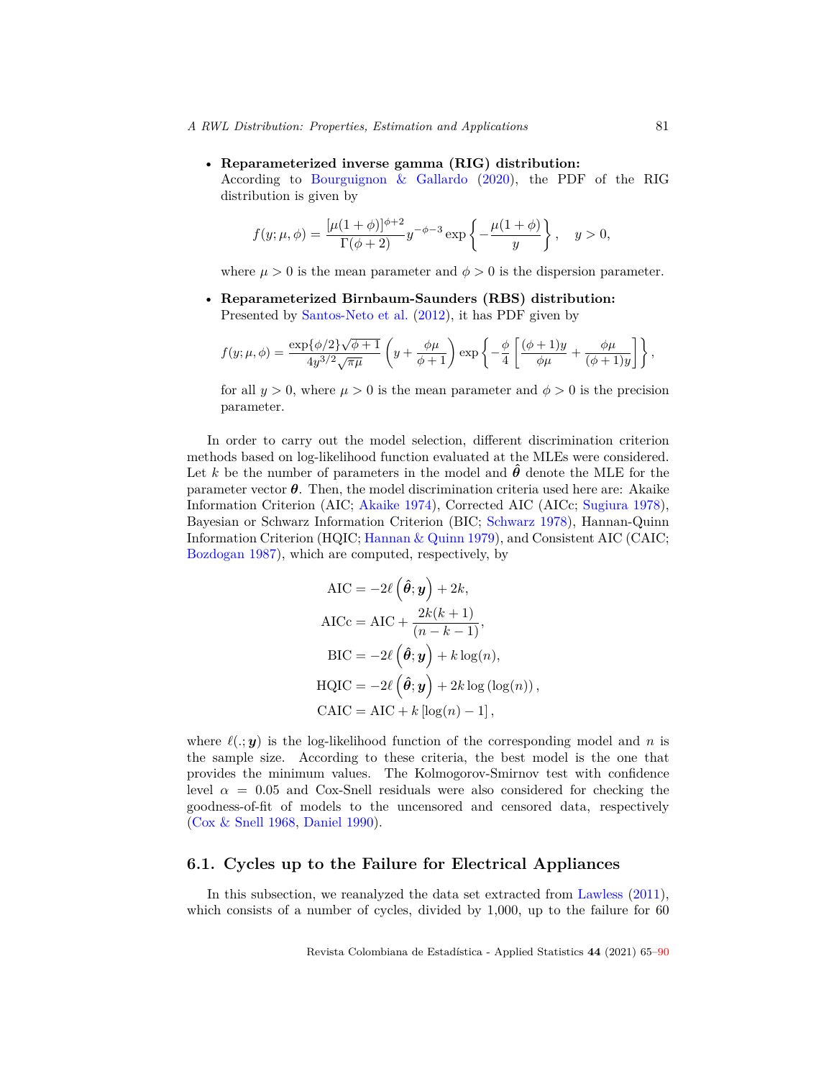#### • **Reparameterized inverse gamma (RIG) distribution:**

According to [Bourguignon & Gallardo](#page-22-7) [\(2020](#page-22-7)), the PDF of the RIG distribution is given by

$$
f(y; \mu, \phi) = \frac{[\mu(1+\phi)]^{\phi+2}}{\Gamma(\phi+2)} y^{-\phi-3} \exp\left\{-\frac{\mu(1+\phi)}{y}\right\}, \quad y > 0,
$$

where  $\mu > 0$  is the mean parameter and  $\phi > 0$  is the dispersion parameter.

• **Reparameterized Birnbaum-Saunders (RBS) distribution:** Presented by [Santos-Neto et al.](#page-24-8) [\(2012](#page-24-8)), it has PDF given by

$$
f(y;\mu,\phi)=\frac{\exp\{\phi/2\}\sqrt{\phi+1}}{4y^{3/2}\sqrt{\pi\mu}}\left(y+\frac{\phi\mu}{\phi+1}\right)\exp\left\{-\frac{\phi}{4}\left[\frac{(\phi+1)y}{\phi\mu}+\frac{\phi\mu}{(\phi+1)y}\right]\right\},
$$

for all  $y > 0$ , where  $\mu > 0$  is the mean parameter and  $\phi > 0$  is the precision parameter.

In order to carry out the model selection, different discrimination criterion methods based on log-likelihood function evaluated at the MLEs were considered. Let *k* be the number of parameters in the model and  $\hat{\theta}$  denote the MLE for the parameter vector  $\theta$ . Then, the model discrimination criteria used here are: Akaike Information Criterion (AIC; [Akaike](#page-22-12) [1974\)](#page-22-12), Corrected AIC (AICc; [Sugiura](#page-24-9) [1978\)](#page-24-9), Bayesian or Schwarz Information Criterion (BIC; [Schwarz](#page-24-10) [1978\)](#page-24-10), Hannan-Quinn Information Criterion (HQIC; [Hannan & Quinn](#page-23-13) [1979](#page-23-13)), and Consistent AIC (CAIC; [Bozdogan](#page-22-13) [1987\)](#page-22-13), which are computed, respectively, by

$$
AIC = -2\ell \left(\hat{\theta}; \mathbf{y}\right) + 2k,
$$
  
\n
$$
AICc = AIC + \frac{2k(k+1)}{(n-k-1)},
$$
  
\n
$$
BIC = -2\ell \left(\hat{\theta}; \mathbf{y}\right) + k \log(n),
$$
  
\n
$$
HQIC = -2\ell \left(\hat{\theta}; \mathbf{y}\right) + 2k \log\left(\log(n)\right),
$$
  
\n
$$
CAIC = AIC + k \left[\log(n) - 1\right],
$$

where  $\ell(.; y)$  is the log-likelihood function of the corresponding model and *n* is the sample size. According to these criteria, the best model is the one that provides the minimum values. The Kolmogorov-Smirnov test with confidence level  $\alpha = 0.05$  and Cox-Snell residuals were also considered for checking the goodness-of-fit of models to the uncensored and censored data, respectively [\(Cox & Snell](#page-22-14) [1968,](#page-22-14) [Daniel](#page-22-15) [1990](#page-22-15)).

#### <span id="page-16-0"></span>**6.1. Cycles up to the Failure for Electrical Appliances**

In this subsection, we reanalyzed the data set extracted from [Lawless](#page-23-14) ([2011\)](#page-23-14), which consists of a number of cycles, divided by 1,000, up to the failure for 60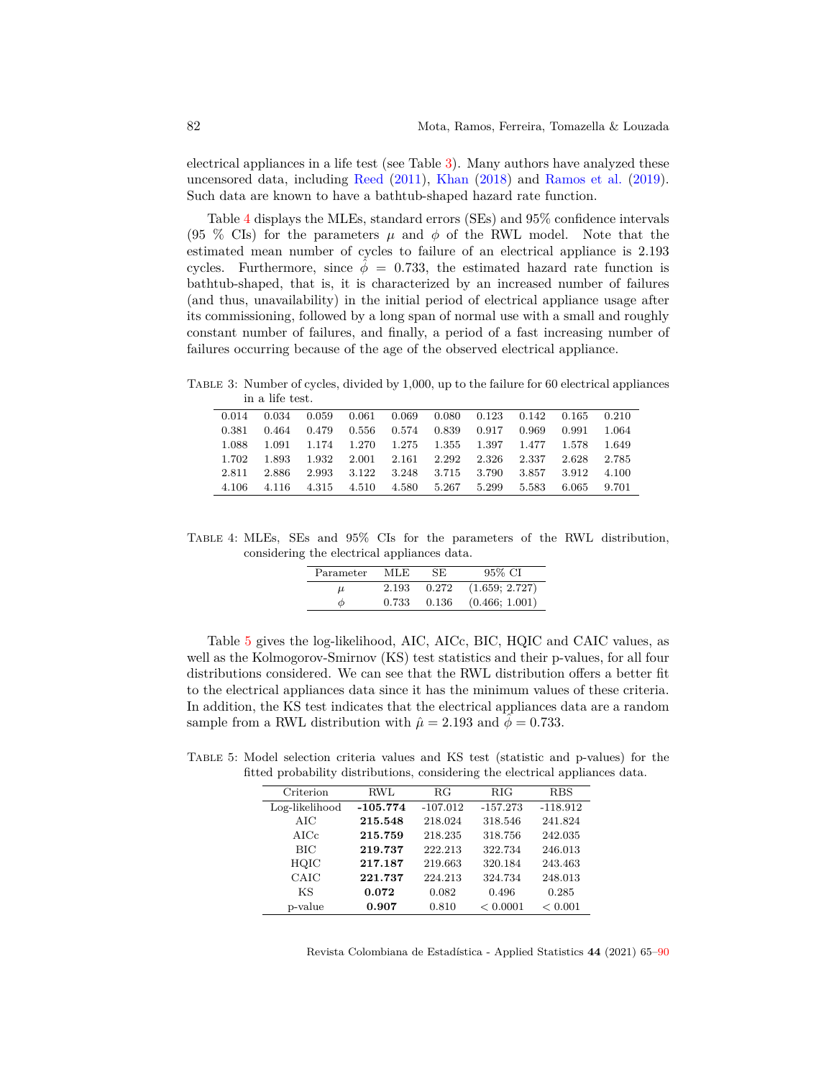electrical appliances in a life test (see Table [3\)](#page-17-0). Many authors have analyzed these uncensored data, including [Reed](#page-24-11) ([2011\)](#page-24-11), [Khan](#page-23-15) [\(2018](#page-23-15)) and [Ramos et al.](#page-24-12) ([2019\)](#page-24-12). Such data are known to have a bathtub-shaped hazard rate function.

Table [4](#page-17-1) displays the MLEs, standard errors (SEs) and 95% confidence intervals (95 % CIs) for the parameters  $\mu$  and  $\phi$  of the RWL model. Note that the estimated mean number of cycles to failure of an electrical appliance is 2*.*193 cycles. Furthermore, since  $\phi = 0.733$ , the estimated hazard rate function is bathtub-shaped, that is, it is characterized by an increased number of failures (and thus, unavailability) in the initial period of electrical appliance usage after its commissioning, followed by a long span of normal use with a small and roughly constant number of failures, and finally, a period of a fast increasing number of failures occurring because of the age of the observed electrical appliance.

<span id="page-17-0"></span>Table 3: Number of cycles, divided by 1,000, up to the failure for 60 electrical appliances in a life test.

| 0.014  | 0.034   | 0.059 | $0.061$ 0.069 |                   | $0.080$ $0.123$ $0.142$ $0.165$                         |       | 0.210  |
|--------|---------|-------|---------------|-------------------|---------------------------------------------------------|-------|--------|
| 0.381  | 0.464   |       |               |                   | $0.479$ $0.556$ $0.574$ $0.839$ $0.917$ $0.969$ $0.991$ |       | -1.064 |
| 1.088  |         |       |               |                   | 1.091 1.174 1.270 1.275 1.355 1.397 1.477 1.578         |       | -1.649 |
| 1.702. | 1.893   |       |               |                   | 1.932 2.001 2.161 2.292 2.326 2.337                     | 2.628 | 2.785  |
| 2.811  | 2.886   | 2.993 | 3.122         | 3.248 3.715 3.790 | 3.857                                                   | 3.912 | -4.100 |
| 4.106  | - 4.116 | 4.315 | 4.510         | 4.580 5.267 5.299 | 5.583                                                   | 6.065 | 9.701  |

<span id="page-17-1"></span>Table 4: MLEs, SEs and 95% CIs for the parameters of the RWL distribution, considering the electrical appliances data.

| Parameter | MLE.  | SE.   | 95% CI         |
|-----------|-------|-------|----------------|
| u         | 2.193 | 0.272 | (1.659; 2.727) |
| Φ         | 0.733 | 0.136 | (0.466; 1.001) |

Table [5](#page-17-2) gives the log-likelihood, AIC, AICc, BIC, HQIC and CAIC values, as well as the Kolmogorov-Smirnov (KS) test statistics and their p-values, for all four distributions considered. We can see that the RWL distribution offers a better fit to the electrical appliances data since it has the minimum values of these criteria. In addition, the KS test indicates that the electrical appliances data are a random sample from a RWL distribution with  $\hat{\mu} = 2.193$  and  $\phi = 0.733$ .

<span id="page-17-2"></span>Table 5: Model selection criteria values and KS test (statistic and p-values) for the fitted probability distributions, considering the electrical appliances data.

| Criterion      | <b>RWL</b> | RG         | <b>RIG</b> | RBS        |
|----------------|------------|------------|------------|------------|
| Log-likelihood | $-105.774$ | $-107.012$ | $-157.273$ | $-118.912$ |
| AIC            | 215.548    | 218.024    | 318.546    | 241.824    |
| $\rm AICc$     | 215.759    | 218.235    | 318.756    | 242.035    |
| <b>BIC</b>     | 219.737    | 222.213    | 322.734    | 246.013    |
| HQIC           | 217.187    | 219.663    | 320.184    | 243.463    |
| CAIC           | 221.737    | 224.213    | 324.734    | 248.013    |
| KS             | 0.072      | 0.082      | 0.496      | 0.285      |
| p-value        | 0.907      | 0.810      | < 0.0001   | < 0.001    |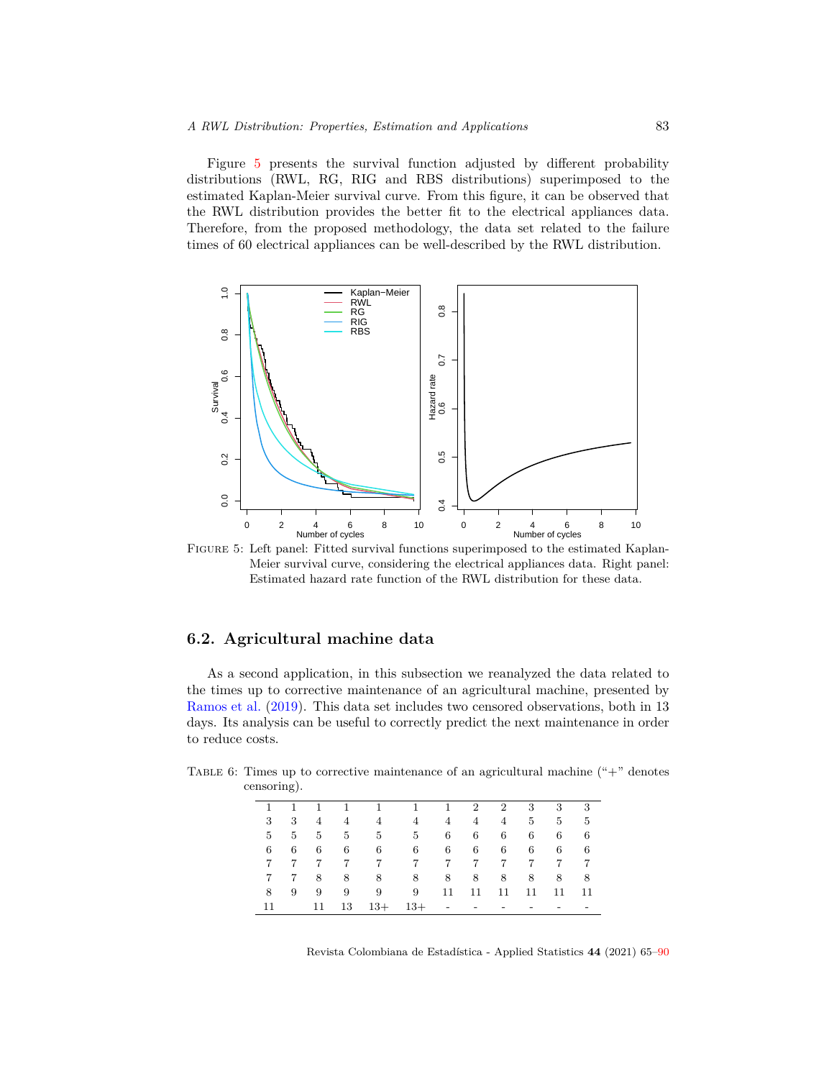Figure [5](#page-18-1) presents the survival function adjusted by different probability distributions (RWL, RG, RIG and RBS distributions) superimposed to the estimated Kaplan-Meier survival curve. From this figure, it can be observed that the RWL distribution provides the better fit to the electrical appliances data. Therefore, from the proposed methodology, the data set related to the failure times of 60 electrical appliances can be well-described by the RWL distribution.



<span id="page-18-1"></span>Figure 5: Left panel: Fitted survival functions superimposed to the estimated Kaplan-Meier survival curve, considering the electrical appliances data. Right panel: Estimated hazard rate function of the RWL distribution for these data.

### <span id="page-18-0"></span>**6.2. Agricultural machine data**

As a second application, in this subsection we reanalyzed the data related to the times up to corrective maintenance of an agricultural machine, presented by [Ramos et al.](#page-24-12) ([2019\)](#page-24-12). This data set includes two censored observations, both in 13 days. Its analysis can be useful to correctly predict the next maintenance in order to reduce costs.

TABLE 6: Times up to corrective maintenance of an agricultural machine  $(4+1)$ <sup>"</sup> denotes censoring).

| $\mathbf{1}$   |            |     |    | 1 1 1 1 1 1 2 2 3 3 3   |    |               |    |    |     |     |
|----------------|------------|-----|----|-------------------------|----|---------------|----|----|-----|-----|
| 3 <sup>1</sup> |            |     |    | 3 4 4 4 4 4 4 4 5       |    |               |    |    | 5 5 |     |
|                |            |     |    | 5 5 5 5 5 5 6 6 6 6 6 6 |    |               |    |    |     |     |
| 6              | $6\degree$ | 6 6 |    | $6\overline{6}$         |    | 6 6 6 6 6 6 6 |    |    |     |     |
| 7              | 7          |     |    | 7 7 7 7 7 7 7 7 7       |    |               |    |    |     |     |
| 7              | 7          |     |    | 8 8 8 8 8 8 8 8 8 8     |    |               |    |    |     |     |
| 8              | 9          | 9   |    | 9 9 9                   | 11 | 11            | 11 | 11 | 11  | -11 |
| 11             |            | 11  | 13 | $13+$ 13+               |    |               |    |    |     |     |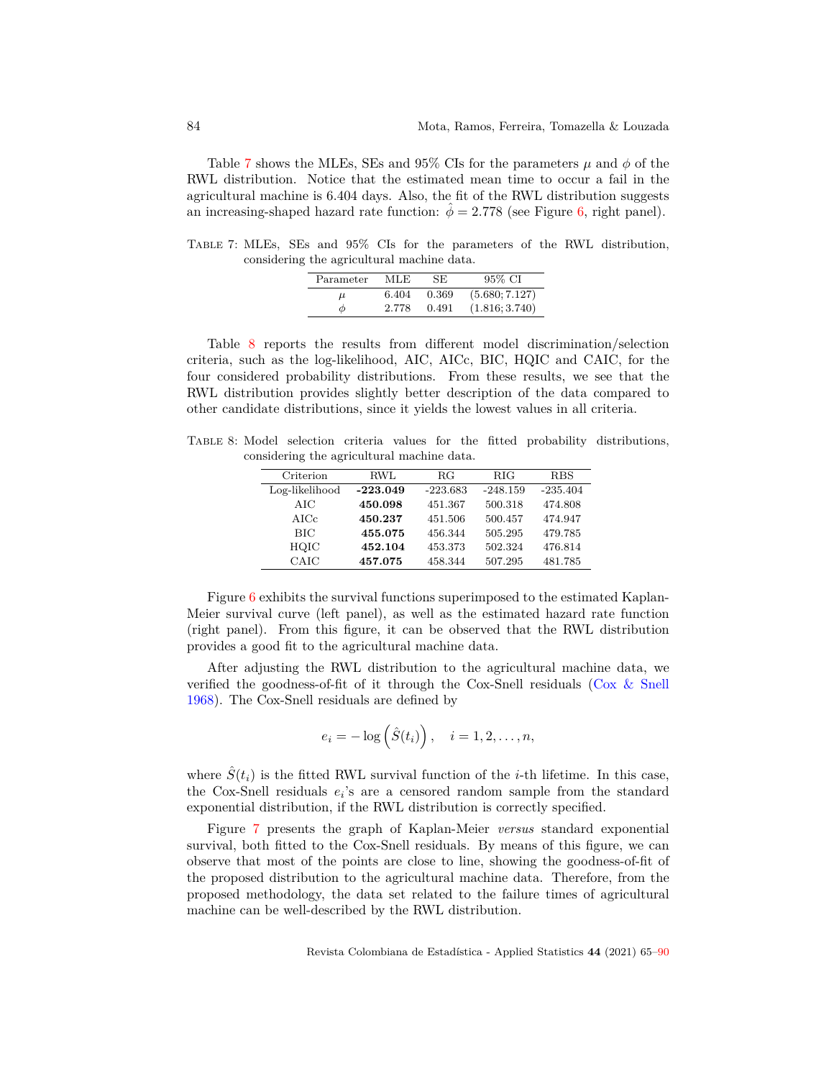Table [7](#page-19-0) shows the MLEs, SEs and 95% CIs for the parameters  $\mu$  and  $\phi$  of the RWL distribution. Notice that the estimated mean time to occur a fail in the agricultural machine is 6*.*404 days. Also, the fit of the RWL distribution suggests an increasing-shaped hazard rate function:  $\phi = 2.778$  (see Figure [6,](#page-20-0) right panel).

<span id="page-19-0"></span>Table 7: MLEs, SEs and 95% CIs for the parameters of the RWL distribution, considering the agricultural machine data.

| Parameter | MLE.  | SE.   | 95% CI         |
|-----------|-------|-------|----------------|
| μ         | 6.404 | 0.369 | (5.680; 7.127) |
| Φ         | 2.778 | 0.491 | (1.816; 3.740) |

Table [8](#page-19-1) reports the results from different model discrimination/selection criteria, such as the log-likelihood, AIC, AICc, BIC, HQIC and CAIC, for the four considered probability distributions. From these results, we see that the RWL distribution provides slightly better description of the data compared to other candidate distributions, since it yields the lowest values in all criteria.

<span id="page-19-1"></span>Table 8: Model selection criteria values for the fitted probability distributions, considering the agricultural machine data.

| Criterion      | RWL        | RG         | <b>RIG</b> | <b>RBS</b> |
|----------------|------------|------------|------------|------------|
| Log-likelihood | $-223.049$ | $-223.683$ | $-248.159$ | $-235.404$ |
| AIC            | 450.098    | 451.367    | 500.318    | 474.808    |
| AICc           | 450.237    | 451.506    | 500.457    | 474.947    |
| <b>BIC</b>     | 455.075    | 456.344    | 505.295    | 479.785    |
| HQIC           | 452.104    | 453.373    | 502.324    | 476.814    |
| CAIC           | 457.075    | 458.344    | 507.295    | 481.785    |

Figure [6](#page-20-0) exhibits the survival functions superimposed to the estimated Kaplan-Meier survival curve (left panel), as well as the estimated hazard rate function (right panel). From this figure, it can be observed that the RWL distribution provides a good fit to the agricultural machine data.

After adjusting the RWL distribution to the agricultural machine data, we verified the goodness-of-fit of it through the Cox-Snell residuals ([Cox & Snell](#page-22-14) [1968](#page-22-14)). The Cox-Snell residuals are defined by

$$
e_i = -\log(\hat{S}(t_i)), \quad i = 1, 2, ..., n,
$$

where  $\hat{S}(t_i)$  is the fitted RWL survival function of the *i*-th lifetime. In this case, the Cox-Snell residuals  $e_i$ 's are a censored random sample from the standard exponential distribution, if the RWL distribution is correctly specified.

Figure [7](#page-20-1) presents the graph of Kaplan-Meier *versus* standard exponential survival, both fitted to the Cox-Snell residuals. By means of this figure, we can observe that most of the points are close to line, showing the goodness-of-fit of the proposed distribution to the agricultural machine data. Therefore, from the proposed methodology, the data set related to the failure times of agricultural machine can be well-described by the RWL distribution.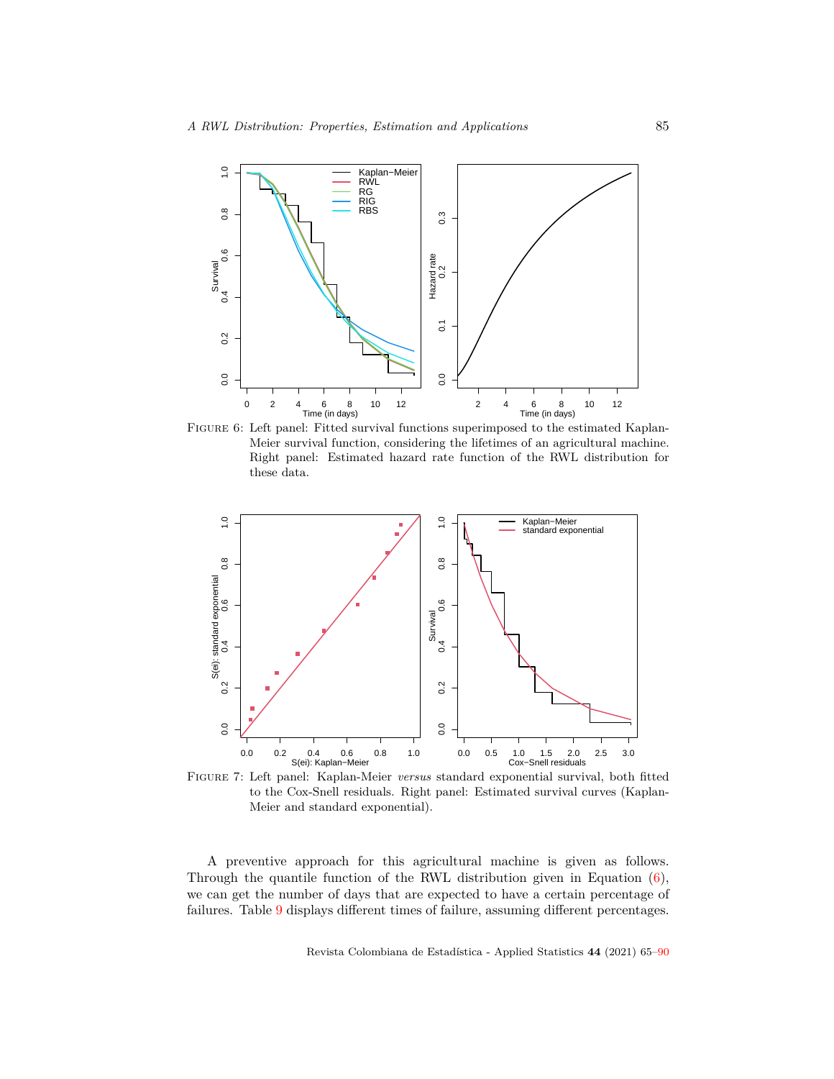

Figure 6: Left panel: Fitted survival functions superimposed to the estimated Kaplan-Meier survival function, considering the lifetimes of an agricultural machine. Right panel: Estimated hazard rate function of the RWL distribution for these data.

<span id="page-20-0"></span>

<span id="page-20-1"></span>Figure 7: Left panel: Kaplan-Meier *versus* standard exponential survival, both fitted to the Cox-Snell residuals. Right panel: Estimated survival curves (Kaplan-Meier and standard exponential).

A preventive approach for this agricultural machine is given as follows. Through the quantile function of the RWL distribution given in Equation  $(6)$  $(6)$ , we can get the number of days that are expected to have a certain percentage of failures. Table [9](#page-21-1) displays different times of failure, assuming different percentages.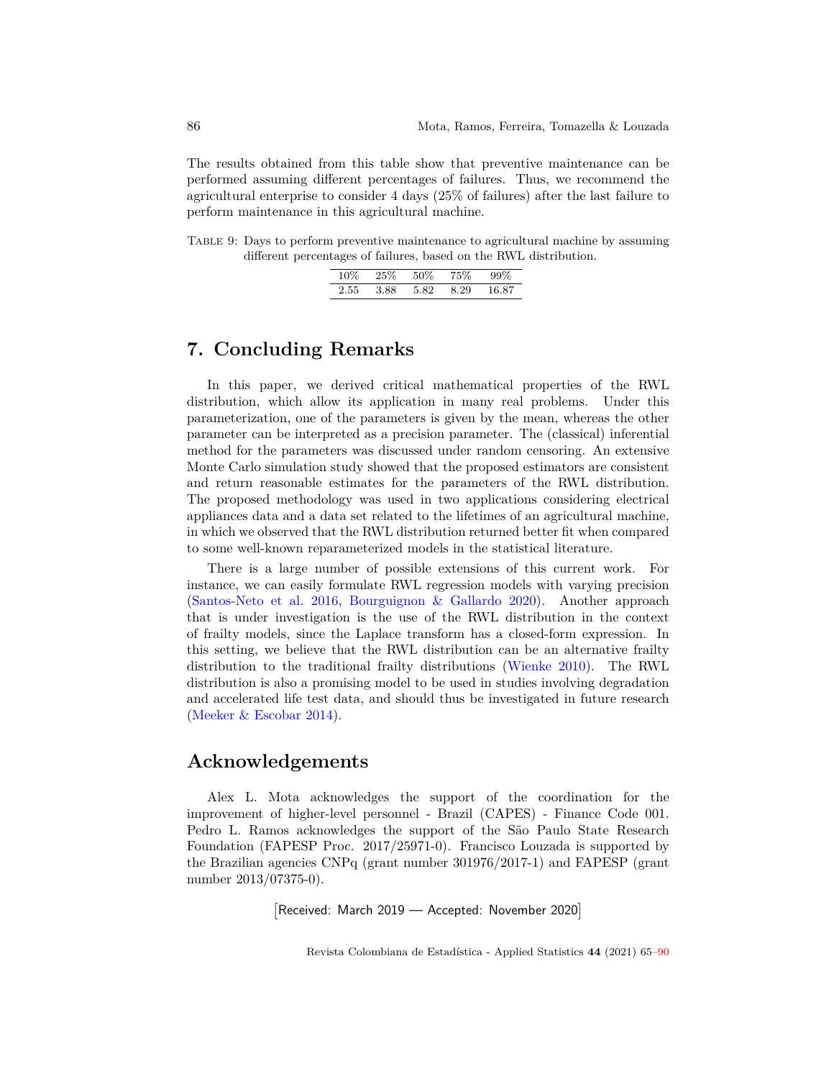The results obtained from this table show that preventive maintenance can be performed assuming different percentages of failures. Thus, we recommend the agricultural enterprise to consider 4 days (25% of failures) after the last failure to perform maintenance in this agricultural machine.

<span id="page-21-1"></span>Table 9: Days to perform preventive maintenance to agricultural machine by assuming different percentages of failures, based on the RWL distribution.

| $10\%$ | $25\%$ | 50%  | 75%  | $99\%$ |
|--------|--------|------|------|--------|
| 2.55   | 3.88   | 5.82 | 8.29 | 16.87  |

## <span id="page-21-0"></span>**7. Concluding Remarks**

In this paper, we derived critical mathematical properties of the RWL distribution, which allow its application in many real problems. Under this parameterization, one of the parameters is given by the mean, whereas the other parameter can be interpreted as a precision parameter. The (classical) inferential method for the parameters was discussed under random censoring. An extensive Monte Carlo simulation study showed that the proposed estimators are consistent and return reasonable estimates for the parameters of the RWL distribution. The proposed methodology was used in two applications considering electrical appliances data and a data set related to the lifetimes of an agricultural machine, in which we observed that the RWL distribution returned better fit when compared to some well-known reparameterized models in the statistical literature.

There is a large number of possible extensions of this current work. For instance, we can easily formulate RWL regression models with varying precision [\(Santos-Neto et al.](#page-24-3) [2016](#page-24-3), [Bourguignon & Gallardo](#page-22-7) [2020\)](#page-22-7). Another approach that is under investigation is the use of the RWL distribution in the context of frailty models, since the Laplace transform has a closed-form expression. In this setting, we believe that the RWL distribution can be an alternative frailty distribution to the traditional frailty distributions ([Wienke](#page-25-2) [2010](#page-25-2)). The RWL distribution is also a promising model to be used in studies involving degradation and accelerated life test data, and should thus be investigated in future research [\(Meeker & Escobar](#page-24-13) [2014\)](#page-24-13).

# **Acknowledgements**

Alex L. Mota acknowledges the support of the coordination for the improvement of higher-level personnel - Brazil (CAPES) - Finance Code 001. Pedro L. Ramos acknowledges the support of the São Paulo State Research Foundation (FAPESP Proc. 2017/25971-0). Francisco Louzada is supported by the Brazilian agencies CNPq (grant number 301976/2017-1) and FAPESP (grant number 2013/07375-0).

Received: March 2019 - Accepted: November 2020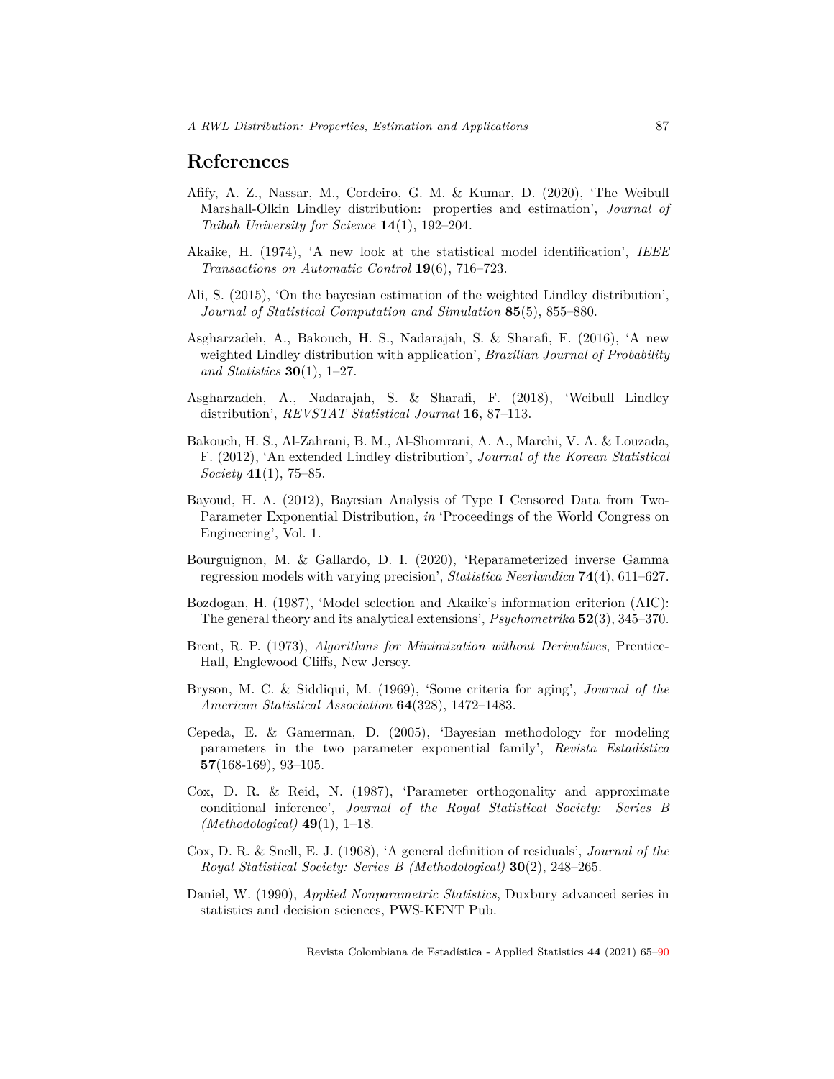## <span id="page-22-0"></span>**References**

- <span id="page-22-3"></span>Afify, A. Z., Nassar, M., Cordeiro, G. M. & Kumar, D. (2020), 'The Weibull Marshall-Olkin Lindley distribution: properties and estimation', *Journal of Taibah University for Science* **14**(1), 192–204.
- <span id="page-22-12"></span>Akaike, H. (1974), 'A new look at the statistical model identification', *IEEE Transactions on Automatic Control* **19**(6), 716–723.
- <span id="page-22-4"></span>Ali, S. (2015), 'On the bayesian estimation of the weighted Lindley distribution', *Journal of Statistical Computation and Simulation* **85**(5), 855–880.
- <span id="page-22-5"></span>Asgharzadeh, A., Bakouch, H. S., Nadarajah, S. & Sharafi, F. (2016), 'A new weighted Lindley distribution with application', *Brazilian Journal of Probability and Statistics* **30**(1), 1–27.
- <span id="page-22-2"></span>Asgharzadeh, A., Nadarajah, S. & Sharafi, F. (2018), 'Weibull Lindley distribution', *REVSTAT Statistical Journal* **16**, 87–113.
- <span id="page-22-1"></span>Bakouch, H. S., Al-Zahrani, B. M., Al-Shomrani, A. A., Marchi, V. A. & Louzada, F. (2012), 'An extended Lindley distribution', *Journal of the Korean Statistical Society* **41**(1), 75–85.
- <span id="page-22-11"></span>Bayoud, H. A. (2012), Bayesian Analysis of Type I Censored Data from Two-Parameter Exponential Distribution, *in* 'Proceedings of the World Congress on Engineering', Vol. 1.
- <span id="page-22-7"></span>Bourguignon, M. & Gallardo, D. I. (2020), 'Reparameterized inverse Gamma regression models with varying precision', *Statistica Neerlandica* **74**(4), 611–627.
- <span id="page-22-13"></span>Bozdogan, H. (1987), 'Model selection and Akaike's information criterion (AIC): The general theory and its analytical extensions', *Psychometrika* **52**(3), 345–370.
- <span id="page-22-9"></span>Brent, R. P. (1973), *Algorithms for Minimization without Derivatives*, Prentice-Hall, Englewood Cliffs, New Jersey.
- <span id="page-22-10"></span>Bryson, M. C. & Siddiqui, M. (1969), 'Some criteria for aging', *Journal of the American Statistical Association* **64**(328), 1472–1483.
- <span id="page-22-6"></span>Cepeda, E. & Gamerman, D. (2005), 'Bayesian methodology for modeling parameters in the two parameter exponential family', *Revista Estadística* **57**(168-169), 93–105.
- <span id="page-22-8"></span>Cox, D. R. & Reid, N. (1987), 'Parameter orthogonality and approximate conditional inference', *Journal of the Royal Statistical Society: Series B (Methodological)* **49**(1), 1–18.
- <span id="page-22-14"></span>Cox, D. R. & Snell, E. J. (1968), 'A general definition of residuals', *Journal of the Royal Statistical Society: Series B (Methodological)* **30**(2), 248–265.
- <span id="page-22-15"></span>Daniel, W. (1990), *Applied Nonparametric Statistics*, Duxbury advanced series in statistics and decision sciences, PWS-KENT Pub.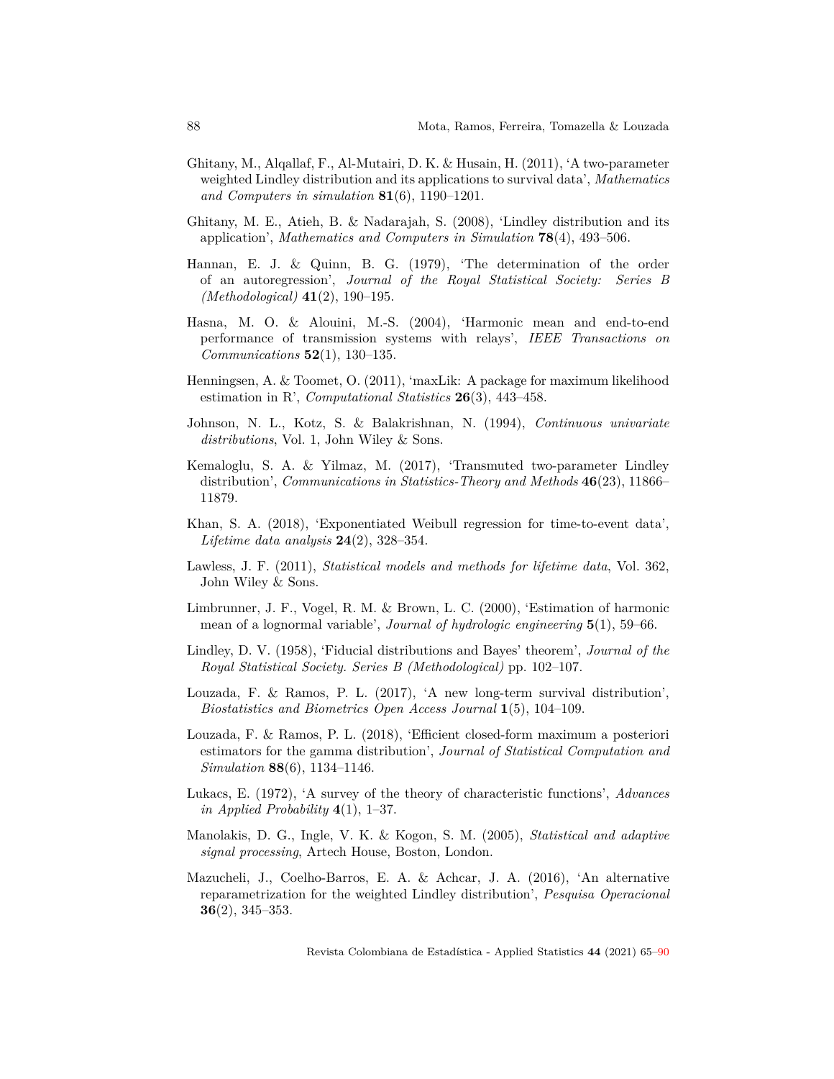- <span id="page-23-2"></span>Ghitany, M., Alqallaf, F., Al-Mutairi, D. K. & Husain, H. (2011), 'A two-parameter weighted Lindley distribution and its applications to survival data', *Mathematics and Computers in simulation* **81**(6), 1190–1201.
- <span id="page-23-1"></span>Ghitany, M. E., Atieh, B. & Nadarajah, S. (2008), 'Lindley distribution and its application', *Mathematics and Computers in Simulation* **78**(4), 493–506.
- <span id="page-23-13"></span>Hannan, E. J. & Quinn, B. G. (1979), 'The determination of the order of an autoregression', *Journal of the Royal Statistical Society: Series B (Methodological)* **41**(2), 190–195.
- <span id="page-23-7"></span>Hasna, M. O. & Alouini, M.-S. (2004), 'Harmonic mean and end-to-end performance of transmission systems with relays', *IEEE Transactions on Communications* **52**(1), 130–135.
- <span id="page-23-11"></span>Henningsen, A. & Toomet, O. (2011), 'maxLik: A package for maximum likelihood estimation in R', *Computational Statistics* **26**(3), 443–458.
- <span id="page-23-6"></span>Johnson, N. L., Kotz, S. & Balakrishnan, N. (1994), *Continuous univariate distributions*, Vol. 1, John Wiley & Sons.
- <span id="page-23-3"></span>Kemaloglu, S. A. & Yilmaz, M. (2017), 'Transmuted two-parameter Lindley distribution', *Communications in Statistics-Theory and Methods* **46**(23), 11866– 11879.
- <span id="page-23-15"></span>Khan, S. A. (2018), 'Exponentiated Weibull regression for time-to-event data', *Lifetime data analysis* **24**(2), 328–354.
- <span id="page-23-14"></span>Lawless, J. F. (2011), *Statistical models and methods for lifetime data*, Vol. 362, John Wiley & Sons.
- <span id="page-23-8"></span>Limbrunner, J. F., Vogel, R. M. & Brown, L. C. (2000), 'Estimation of harmonic mean of a lognormal variable', *Journal of hydrologic engineering* **5**(1), 59–66.
- <span id="page-23-0"></span>Lindley, D. V. (1958), 'Fiducial distributions and Bayes' theorem', *Journal of the Royal Statistical Society. Series B (Methodological)* pp. 102–107.
- <span id="page-23-4"></span>Louzada, F. & Ramos, P. L. (2017), 'A new long-term survival distribution', *Biostatistics and Biometrics Open Access Journal* **1**(5), 104–109.
- <span id="page-23-12"></span>Louzada, F. & Ramos, P. L. (2018), 'Efficient closed-form maximum a posteriori estimators for the gamma distribution', *Journal of Statistical Computation and Simulation* **88**(6), 1134–1146.
- <span id="page-23-10"></span>Lukacs, E. (1972), 'A survey of the theory of characteristic functions', *Advances in Applied Probability* **4**(1), 1–37.
- <span id="page-23-9"></span>Manolakis, D. G., Ingle, V. K. & Kogon, S. M. (2005), *Statistical and adaptive signal processing*, Artech House, Boston, London.
- <span id="page-23-5"></span>Mazucheli, J., Coelho-Barros, E. A. & Achcar, J. A. (2016), 'An alternative reparametrization for the weighted Lindley distribution', *Pesquisa Operacional* **36**(2), 345–353.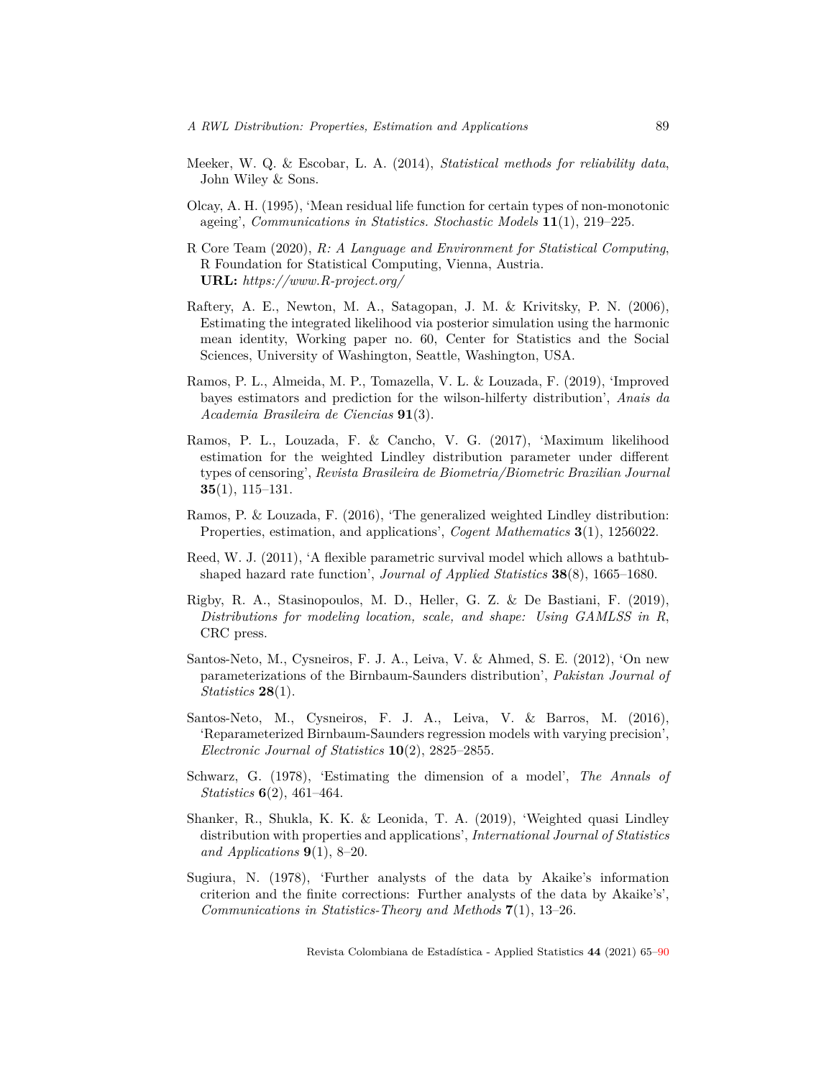- <span id="page-24-13"></span>Meeker, W. Q. & Escobar, L. A. (2014), *Statistical methods for reliability data*, John Wiley & Sons.
- <span id="page-24-7"></span>Olcay, A. H. (1995), 'Mean residual life function for certain types of non-monotonic ageing', *Communications in Statistics. Stochastic Models* **11**(1), 219–225.
- <span id="page-24-5"></span>R Core Team (2020), *R: A Language and Environment for Statistical Computing*, R Foundation for Statistical Computing, Vienna, Austria. **URL:** *https://www.R-project.org/*
- <span id="page-24-6"></span>Raftery, A. E., Newton, M. A., Satagopan, J. M. & Krivitsky, P. N. (2006), Estimating the integrated likelihood via posterior simulation using the harmonic mean identity, Working paper no. 60, Center for Statistics and the Social Sciences, University of Washington, Seattle, Washington, USA.
- <span id="page-24-12"></span>Ramos, P. L., Almeida, M. P., Tomazella, V. L. & Louzada, F. (2019), 'Improved bayes estimators and prediction for the wilson-hilferty distribution', *Anais da Academia Brasileira de Ciencias* **91**(3).
- <span id="page-24-0"></span>Ramos, P. L., Louzada, F. & Cancho, V. G. (2017), 'Maximum likelihood estimation for the weighted Lindley distribution parameter under different types of censoring', *Revista Brasileira de Biometria/Biometric Brazilian Journal* **35**(1), 115–131.
- <span id="page-24-1"></span>Ramos, P. & Louzada, F. (2016), 'The generalized weighted Lindley distribution: Properties, estimation, and applications', *Cogent Mathematics* **3**(1), 1256022.
- <span id="page-24-11"></span>Reed, W. J. (2011), 'A flexible parametric survival model which allows a bathtubshaped hazard rate function', *Journal of Applied Statistics* **38**(8), 1665–1680.
- <span id="page-24-4"></span>Rigby, R. A., Stasinopoulos, M. D., Heller, G. Z. & De Bastiani, F. (2019), *Distributions for modeling location, scale, and shape: Using GAMLSS in R*, CRC press.
- <span id="page-24-8"></span>Santos-Neto, M., Cysneiros, F. J. A., Leiva, V. & Ahmed, S. E. (2012), 'On new parameterizations of the Birnbaum-Saunders distribution', *Pakistan Journal of Statistics* **28**(1).
- <span id="page-24-3"></span>Santos-Neto, M., Cysneiros, F. J. A., Leiva, V. & Barros, M. (2016), 'Reparameterized Birnbaum-Saunders regression models with varying precision', *Electronic Journal of Statistics* **10**(2), 2825–2855.
- <span id="page-24-10"></span>Schwarz, G. (1978), 'Estimating the dimension of a model', *The Annals of Statistics* **6**(2), 461–464.
- <span id="page-24-2"></span>Shanker, R., Shukla, K. K. & Leonida, T. A. (2019), 'Weighted quasi Lindley distribution with properties and applications', *International Journal of Statistics and Applications* **9**(1), 8–20.
- <span id="page-24-9"></span>Sugiura, N. (1978), 'Further analysts of the data by Akaike's information criterion and the finite corrections: Further analysts of the data by Akaike's', *Communications in Statistics-Theory and Methods* **7**(1), 13–26.